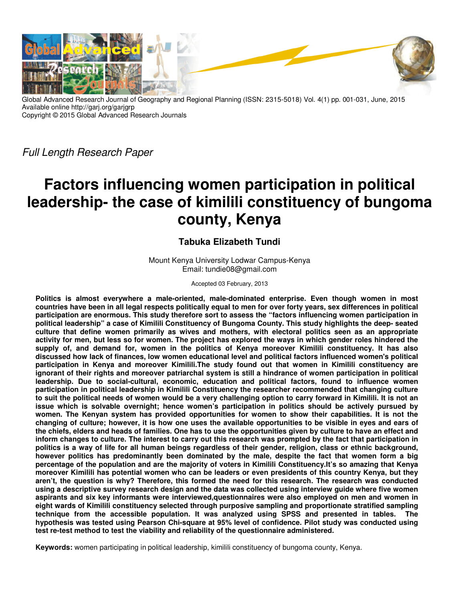

Global Advanced Research Journal of Geography and Regional Planning (ISSN: 2315-5018) Vol. 4(1) pp. 001-031, June, 2015 Available online http://garj.org/garjgrp Copyright © 2015 Global Advanced Research Journals

Full Length Research Paper

# **Factors influencing women participation in political leadership- the case of kimilili constituency of bungoma county, Kenya**

## **Tabuka Elizabeth Tundi**

Mount Kenya University Lodwar Campus-Kenya Email: tundie08@gmail.com

Accepted 03 February, 2013

**Politics is almost everywhere a male-oriented, male-dominated enterprise. Even though women in most countries have been in all legal respects politically equal to men for over forty years, sex differences in political participation are enormous. This study therefore sort to assess the "factors influencing women participation in political leadership" a case of Kimilili Constituency of Bungoma County. This study highlights the deep- seated culture that define women primarily as wives and mothers, with electoral politics seen as an appropriate activity for men, but less so for women. The project has explored the ways in which gender roles hindered the supply of, and demand for, women in the politics of Kenya moreover Kimilili constituency. It has also discussed how lack of finances, low women educational level and political factors influenced women's political participation in Kenya and moreover Kimilili.The study found out that women in Kimilili constituency are ignorant of their rights and moreover patriarchal system is still a hindrance of women participation in political leadership. Due to social-cultural, economic, education and political factors, found to influence women participation in political leadership in Kimilili Constituency the researcher recommended that changing culture to suit the political needs of women would be a very challenging option to carry forward in Kimilili. It is not an issue which is solvable overnight; hence women's participation in politics should be actively pursued by women. The Kenyan system has provided opportunities for women to show their capabilities. It is not the changing of culture; however, it is how one uses the available opportunities to be visible in eyes and ears of the chiefs, elders and heads of families. One has to use the opportunities given by culture to have an effect and inform changes to culture. The interest to carry out this research was prompted by the fact that participation in politics is a way of life for all human beings regardless of their gender, religion, class or ethnic background, however politics has predominantly been dominated by the male, despite the fact that women form a big percentage of the population and are the majority of voters in Kimilili Constituency.It's so amazing that Kenya moreover Kimilili has potential women who can be leaders or even presidents of this country Kenya, but they aren't, the question is why? Therefore, this formed the need for this research. The research was conducted using a descriptive survey research design and the data was collected using interview guide where five women aspirants and six key informants were interviewed,questionnaires were also employed on men and women in eight wards of Kimilili constituency selected through purposive sampling and proportionate stratified sampling technique from the accessible population. It was analyzed using SPSS and presented in tables. The hypothesis was tested using Pearson Chi-square at 95% level of confidence. Pilot study was conducted using test re-test method to test the viability and reliability of the questionnaire administered.** 

**Keywords:** women participating in political leadership, kimilili constituency of bungoma county, Kenya.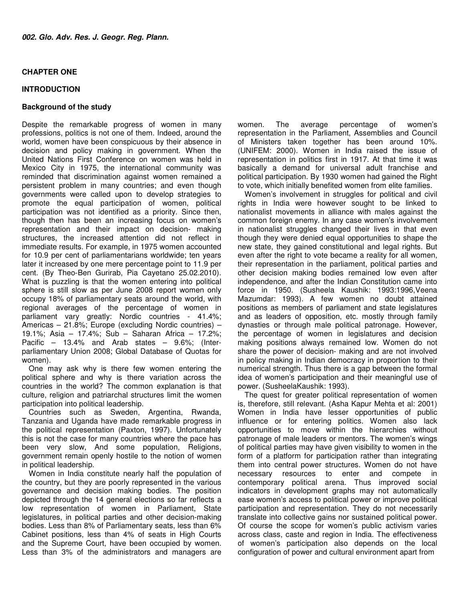## **CHAPTER ONE**

## **INTRODUCTION**

## **Background of the study**

Despite the remarkable progress of women in many professions, politics is not one of them. Indeed, around the world, women have been conspicuous by their absence in decision and policy making in government. When the United Nations First Conference on women was held in Mexico City in 1975, the international community was reminded that discrimination against women remained a persistent problem in many countries; and even though governments were called upon to develop strategies to promote the equal participation of women, political participation was not identified as a priority. Since then, though then has been an increasing focus on women's representation and their impact on decision- making structures, the increased attention did not reflect in immediate results. For example, in 1975 women accounted for 10.9 per cent of parliamentarians worldwide; ten years later it increased by one mere percentage point to 11.9 per cent. (By Theo-Ben Gurirab, Pia Cayetano 25.02.2010). What is puzzling is that the women entering into political sphere is still slow as per June 2008 report women only occupy 18% of parliamentary seats around the world, with regional averages of the percentage of women in parliament vary greatly: Nordic countries - 41.4%; Americas – 21.8%; Europe (excluding Nordic countries) – 19.1%; Asia – 17.4%; Sub – Saharan Africa – 17.2%; Pacific – 13.4% and Arab states – 9.6%; (Interparliamentary Union 2008; Global Database of Quotas for women).

One may ask why is there few women entering the political sphere and why is there variation across the countries in the world? The common explanation is that culture, religion and patriarchal structures limit the women participation into political leadership.

Countries such as Sweden, Argentina, Rwanda, Tanzania and Uganda have made remarkable progress in the political representation (Paxton, 1997). Unfortunately this is not the case for many countries where the pace has been very slow, And some population, Religions, government remain openly hostile to the notion of women in political leadership.

Women in India constitute nearly half the population of the country, but they are poorly represented in the various governance and decision making bodies. The position depicted through the 14 general elections so far reflects a low representation of women in Parliament, State legislatures, in political parties and other decision-making bodies. Less than 8% of Parliamentary seats, less than 6% Cabinet positions, less than 4% of seats in High Courts and the Supreme Court, have been occupied by women. Less than 3% of the administrators and managers are

women. The average percentage of women's representation in the Parliament, Assemblies and Council of Ministers taken together has been around 10%. (UNIFEM: 2000). Women in India raised the issue of representation in politics first in 1917. At that time it was basically a demand for universal adult franchise and political participation. By 1930 women had gained the Right to vote, which initially benefited women from elite families.

Women's involvement in struggles for political and civil rights in India were however sought to be linked to nationalist movements in alliance with males against the common foreign enemy. In any case women's involvement in nationalist struggles changed their lives in that even though they were denied equal opportunities to shape the new state, they gained constitutional and legal rights. But even after the right to vote became a reality for all women, their representation in the parliament, political parties and other decision making bodies remained low even after independence, and after the Indian Constitution came into force in 1950. (Susheela Kaushik: 1993:1996,Veena Mazumdar: 1993). A few women no doubt attained positions as members of parliament and state legislatures and as leaders of opposition, etc. mostly through family dynasties or through male political patronage. However, the percentage of women in legislatures and decision making positions always remained low. Women do not share the power of decision- making and are not involved in policy making in Indian democracy in proportion to their numerical strength. Thus there is a gap between the formal idea of women's participation and their meaningful use of power. (SusheelaKaushik: 1993).

The quest for greater political representation of women is, therefore, still relevant. (Asha Kapur Mehta et al: 2001) Women in India have lesser opportunities of public influence or for entering politics. Women also lack opportunities to move within the hierarchies without patronage of male leaders or mentors. The women's wings of political parties may have given visibility to women in the form of a platform for participation rather than integrating them into central power structures. Women do not have necessary resources to enter and compete in contemporary political arena. Thus improved social indicators in development graphs may not automatically ease women's access to political power or improve political participation and representation. They do not necessarily translate into collective gains nor sustained political power. Of course the scope for women's public activism varies across class, caste and region in India. The effectiveness of women's participation also depends on the local configuration of power and cultural environment apart from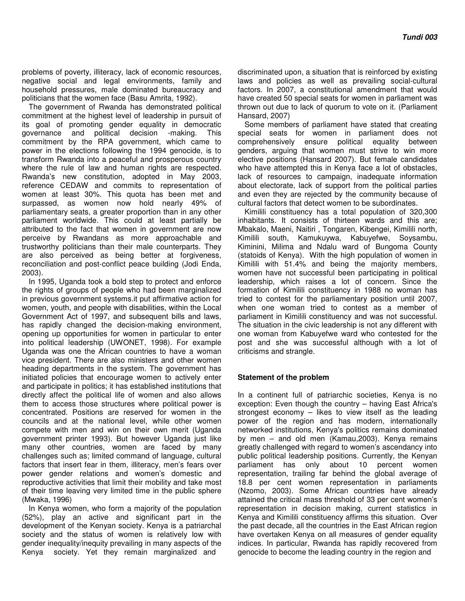problems of poverty, illiteracy, lack of economic resources, negative social and legal environments, family and household pressures, male dominated bureaucracy and politicians that the women face (Basu Amrita, 1992).

The government of Rwanda has demonstrated political commitment at the highest level of leadership in pursuit of its goal of promoting gender equality in democratic governance and political decision -making. This commitment by the RPA government, which came to power in the elections following the 1994 genocide, is to transform Rwanda into a peaceful and prosperous country where the rule of law and human rights are respected. Rwanda's new constitution, adopted in May 2003, reference CEDAW and commits to representation of women at least 30%. This quota has been met and surpassed, as women now hold nearly 49% of parliamentary seats, a greater proportion than in any other parliament worldwide. This could at least partially be attributed to the fact that women in government are now perceive by Rwandans as more approachable and trustworthy politicians than their male counterparts. They are also perceived as being better at forgiveness, reconciliation and post-conflict peace building (Jodi Enda, 2003).

In 1995, Uganda took a bold step to protect and enforce the rights of groups of people who had been marginalized in previous government systems.it put affirmative action for women, youth, and people with disabilities, within the Local Government Act of 1997, and subsequent bills and laws, has rapidly changed the decision-making environment, opening up opportunities for women in particular to enter into political leadership (UWONET, 1998). For example Uganda was one the African countries to have a woman vice president. There are also ministers and other women heading departments in the system. The government has initiated policies that encourage women to actively enter and participate in politics; it has established institutions that directly affect the political life of women and also allows them to access those structures where political power is concentrated. Positions are reserved for women in the councils and at the national level, while other women compete with men and win on their own merit (Uganda government printer 1993). But however Uganda just like many other countries, women are faced by many challenges such as; limited command of language, cultural factors that insert fear in them, illiteracy, men's fears over power gender relations and women's domestic and reproductive activities that limit their mobility and take most of their time leaving very limited time in the public sphere (Mwaka, 1996)

In Kenya women, who form a majority of the population (52%), play an active and significant part in the development of the Kenyan society. Kenya is a patriarchal society and the status of women is relatively low with gender inequality/inequity prevailing in many aspects of the Kenya society. Yet they remain marginalized and

discriminated upon, a situation that is reinforced by existing laws and policies as well as prevailing social-cultural factors. In 2007, a constitutional amendment that would have created 50 special seats for women in parliament was thrown out due to lack of quorum to vote on it. (Parliament Hansard, 2007)

Some members of parliament have stated that creating special seats for women in parliament does not comprehensively ensure political equality between genders, arguing that women must strive to win more elective positions (Hansard 2007). But female candidates who have attempted this in Kenya face a lot of obstacles, lack of resources to campaign, inadequate information about electorate, lack of support from the political parties and even they are rejected by the community because of cultural factors that detect women to be subordinates.

Kimilili constituency has a total population of 320,300 inhabitants. It consists of thirteen wards and this are; Mbakalo, Maeni, Naitiri , Tongaren, Kibengei, Kimilili north, Kimilili south, Kamukuywa, Kabuyefwe, Soysambu, Kiminini, Milima and Ndalu ward of Bungoma County (statoids of Kenya). With the high population of women in Kimilili with 51.4% and being the majority members, women have not successful been participating in political leadership, which raises a lot of concern. Since the formation of Kimilili constituency in 1988 no woman has tried to contest for the parliamentary position until 2007, when one woman tried to contest as a member of parliament in Kimilili constituency and was not successful. The situation in the civic leadership is not any different with one woman from Kabuyefwe ward who contested for the post and she was successful although with a lot of criticisms and strangle.

## **Statement of the problem**

In a continent full of patriarchic societies, Kenya is no exception: Even though the country – having East Africa's strongest economy – likes to view itself as the leading power of the region and has modern, internationally networked institutions, Kenya's politics remains dominated by men – and old men (Kamau,2003). Kenya remains greatly challenged with regard to women's ascendancy into public political leadership positions. Currently, the Kenyan parliament has only about 10 percent women representation, trailing far behind the global average of 18.8 per cent women representation in parliaments (Nzomo, 2003). Some African countries have already attained the critical mass threshold of 33 per cent women's representation in decision making, current statistics in Kenya and Kimilili constituency affirms this situation. Over the past decade, all the countries in the East African region have overtaken Kenya on all measures of gender equality indices. In particular, Rwanda has rapidly recovered from genocide to become the leading country in the region and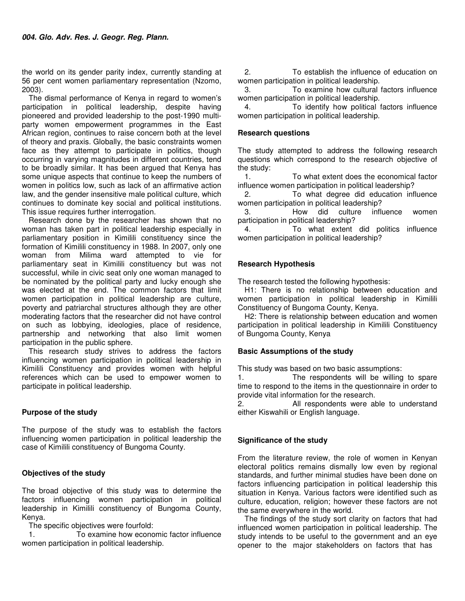the world on its gender parity index, currently standing at 56 per cent women parliamentary representation (Nzomo, 2003).

The dismal performance of Kenya in regard to women's participation in political leadership, despite having pioneered and provided leadership to the post-1990 multiparty women empowerment programmes in the East African region, continues to raise concern both at the level of theory and praxis. Globally, the basic constraints women face as they attempt to participate in politics, though occurring in varying magnitudes in different countries, tend to be broadly similar. It has been argued that Kenya has some unique aspects that continue to keep the numbers of women in politics low, such as lack of an affirmative action law, and the gender insensitive male political culture, which continues to dominate key social and political institutions. This issue requires further interrogation.

Research done by the researcher has shown that no woman has taken part in political leadership especially in parliamentary position in Kimilili constituency since the formation of Kimilili constituency in 1988. In 2007, only one woman from Milima ward attempted to vie for parliamentary seat in Kimilili constituency but was not successful, while in civic seat only one woman managed to be nominated by the political party and lucky enough she was elected at the end. The common factors that limit women participation in political leadership are culture, poverty and patriarchal structures although they are other moderating factors that the researcher did not have control on such as lobbying, ideologies, place of residence, partnership and networking that also limit women participation in the public sphere.

This research study strives to address the factors influencing women participation in political leadership in Kimilili Constituency and provides women with helpful references which can be used to empower women to participate in political leadership.

## **Purpose of the study**

The purpose of the study was to establish the factors influencing women participation in political leadership the case of Kimilili constituency of Bungoma County.

## **Objectives of the study**

The broad objective of this study was to determine the factors influencing women participation in political leadership in Kimilili constituency of Bungoma County, Kenya.

The specific objectives were fourfold:

1. To examine how economic factor influence women participation in political leadership.

2. To establish the influence of education on women participation in political leadership.

3. To examine how cultural factors influence women participation in political leadership.

4. To identify how political factors influence women participation in political leadership.

## **Research questions**

The study attempted to address the following research questions which correspond to the research objective of the study:

1. To what extent does the economical factor influence women participation in political leadership?

2. To what degree did education influence women participation in political leadership?

3. How did culture influence women participation in political leadership?

4. To what extent did politics influence women participation in political leadership?

## **Research Hypothesis**

The research tested the following hypothesis:

H1: There is no relationship between education and women participation in political leadership in Kimilili Constituency of Bungoma County, Kenya.

H2: There is relationship between education and women participation in political leadership in Kimilili Constituency of Bungoma County, Kenya

## **Basic Assumptions of the study**

This study was based on two basic assumptions:

1. The respondents will be willing to spare time to respond to the items in the questionnaire in order to provide vital information for the research.

2. All respondents were able to understand either Kiswahili or English language.

## **Significance of the study**

From the literature review, the role of women in Kenyan electoral politics remains dismally low even by regional standards, and further minimal studies have been done on factors influencing participation in political leadership this situation in Kenya. Various factors were identified such as culture, education, religion; however these factors are not the same everywhere in the world.

The findings of the study sort clarity on factors that had influenced women participation in political leadership. The study intends to be useful to the government and an eye opener to the major stakeholders on factors that has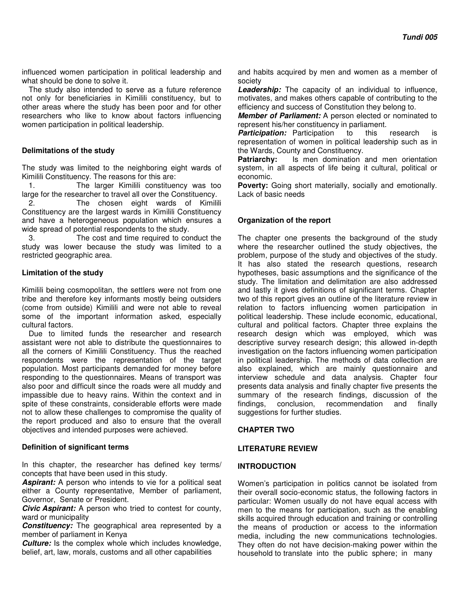influenced women participation in political leadership and what should be done to solve it.

The study also intended to serve as a future reference not only for beneficiaries in Kimilili constituency, but to other areas where the study has been poor and for other researchers who like to know about factors influencing women participation in political leadership.

## **Delimitations of the study**

The study was limited to the neighboring eight wards of Kimilili Constituency. The reasons for this are:

1. The larger Kimilili constituency was too large for the researcher to travel all over the Constituency.

2. The chosen eight wards of Kimilili Constituency are the largest wards in Kimilili Constituency and have a heterogeneous population which ensures a wide spread of potential respondents to the study.

3. The cost and time required to conduct the study was lower because the study was limited to a restricted geographic area.

## **Limitation of the study**

Kimilili being cosmopolitan, the settlers were not from one tribe and therefore key informants mostly being outsiders (come from outside) Kimilili and were not able to reveal some of the important information asked, especially cultural factors.

Due to limited funds the researcher and research assistant were not able to distribute the questionnaires to all the corners of Kimilili Constituency. Thus the reached respondents were the representation of the target population. Most participants demanded for money before responding to the questionnaires. Means of transport was also poor and difficult since the roads were all muddy and impassible due to heavy rains. Within the context and in spite of these constraints, considerable efforts were made not to allow these challenges to compromise the quality of the report produced and also to ensure that the overall objectives and intended purposes were achieved.

## **Definition of significant terms**

In this chapter, the researcher has defined key terms/ concepts that have been used in this study.

*Aspirant:* A person who intends to vie for a political seat either a County representative, Member of parliament, Governor, Senate or President.

*Civic Aspirant:* A person who tried to contest for county, ward or municipality

*Constituency:* The geographical area represented by a member of parliament in Kenya

*Culture:* Is the complex whole which includes knowledge, belief, art, law, morals, customs and all other capabilities

and habits acquired by men and women as a member of society

*Leadership:* The capacity of an individual to influence, motivates, and makes others capable of contributing to the efficiency and success of Constitution they belong to.

*Member of Parliament:* A person elected or nominated to represent his/her constituency in parliament.

**Participation:** Participation to this research is representation of women in political leadership such as in the Wards, County and Constituency.

**Patriarchy:** Is men domination and men orientation system, in all aspects of life being it cultural, political or economic.

**Poverty:** Going short materially, socially and emotionally. Lack of basic needs

## **Organization of the report**

The chapter one presents the background of the study where the researcher outlined the study objectives, the problem, purpose of the study and objectives of the study. It has also stated the research questions, research hypotheses, basic assumptions and the significance of the study. The limitation and delimitation are also addressed and lastly it gives definitions of significant terms. Chapter two of this report gives an outline of the literature review in relation to factors influencing women participation in political leadership. These include economic, educational, cultural and political factors. Chapter three explains the research design which was employed, which was descriptive survey research design; this allowed in-depth investigation on the factors influencing women participation in political leadership. The methods of data collection are also explained, which are mainly questionnaire and interview schedule and data analysis. Chapter four presents data analysis and finally chapter five presents the summary of the research findings, discussion of the findings, conclusion, recommendation and finally suggestions for further studies.

## **CHAPTER TWO**

## **LITERATURE REVIEW**

## **INTRODUCTION**

Women's participation in politics cannot be isolated from their overall socio-economic status, the following factors in particular: Women usually do not have equal access with men to the means for participation, such as the enabling skills acquired through education and training or controlling the means of production or access to the information media, including the new communications technologies. They often do not have decision-making power within the household to translate into the public sphere; in many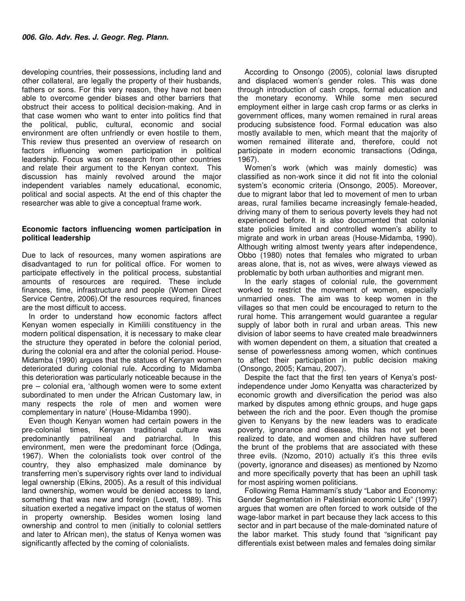developing countries, their possessions, including land and other collateral, are legally the property of their husbands, fathers or sons. For this very reason, they have not been able to overcome gender biases and other barriers that obstruct their access to political decision-making. And in that case women who want to enter into politics find that the political, public, cultural, economic and social environment are often unfriendly or even hostile to them, This review thus presented an overview of research on factors influencing women participation in political leadership. Focus was on research from other countries and relate their argument to the Kenyan context. This discussion has mainly revolved around the major independent variables namely educational, economic, political and social aspects. At the end of this chapter the researcher was able to give a conceptual frame work.

## **Economic factors influencing women participation in political leadership**

Due to lack of resources, many women aspirations are disadvantaged to run for political office. For women to participate effectively in the political process, substantial amounts of resources are required. These include finances, time, infrastructure and people (Women Direct Service Centre, 2006).Of the resources required, finances are the most difficult to access.

In order to understand how economic factors affect Kenyan women especially in Kimilili constituency in the modern political dispensation, it is necessary to make clear the structure they operated in before the colonial period, during the colonial era and after the colonial period. House-Midamba (1990) argues that the statues of Kenyan women deteriorated during colonial rule. According to Midamba this deterioration was particularly noticeable because in the pre – colonial era, 'although women were to some extent subordinated to men under the African Customary law, in many respects the role of men and women were complementary in nature' (House-Midamba 1990).

Even though Kenyan women had certain powers in the pre-colonial times, Kenyan traditional culture was predominantly patrilineal and patriarchal. In this environment, men were the predominant force (Odinga, 1967). When the colonialists took over control of the country, they also emphasized male dominance by transferring men's supervisory rights over land to individual legal ownership (Elkins, 2005). As a result of this individual land ownership, women would be denied access to land, something that was new and foreign (Lovett, 1989). This situation exerted a negative impact on the status of women in property ownership. Besides women losing land ownership and control to men (initially to colonial settlers and later to African men), the status of Kenya women was significantly affected by the coming of colonialists.

According to Onsongo (2005), colonial laws disrupted and displaced women's gender roles. This was done through introduction of cash crops, formal education and the monetary economy. While some men secured employment either in large cash crop farms or as clerks in government offices, many women remained in rural areas producing subsistence food. Formal education was also mostly available to men, which meant that the majority of women remained illiterate and, therefore, could not participate in modern economic transactions (Odinga, 1967).

Women's work (which was mainly domestic) was classified as non-work since it did not fit into the colonial system's economic criteria (Onsongo, 2005). Moreover, due to migrant labor that led to movement of men to urban areas, rural families became increasingly female-headed, driving many of them to serious poverty levels they had not experienced before. It is also documented that colonial state policies limited and controlled women's ability to migrate and work in urban areas (House-Midamba, 1990). Although writing almost twenty years after independence, Obbo (1980) notes that females who migrated to urban areas alone, that is, not as wives, were always viewed as problematic by both urban authorities and migrant men.

In the early stages of colonial rule, the government worked to restrict the movement of women, especially unmarried ones. The aim was to keep women in the villages so that men could be encouraged to return to the rural home. This arrangement would guarantee a regular supply of labor both in rural and urban areas. This new division of labor seems to have created male breadwinners with women dependent on them, a situation that created a sense of powerlessness among women, which continues to affect their participation in public decision making (Onsongo, 2005; Kamau, 2007).

Despite the fact that the first ten years of Kenya's postindependence under Jomo Kenyatta was characterized by economic growth and diversification the period was also marked by disputes among ethnic groups, and huge gaps between the rich and the poor. Even though the promise given to Kenyans by the new leaders was to eradicate poverty, ignorance and disease, this has not yet been realized to date, and women and children have suffered the brunt of the problems that are associated with these three evils. (Nzomo, 2010) actually it's this three evils (poverty, ignorance and diseases) as mentioned by Nzomo and more specifically poverty that has been an uphill task for most aspiring women politicians.

Following Rema Hammami's study "Labor and Economy: Gender Segmentation in Palestinian economic Life" (1997) argues that women are often forced to work outside of the wage-labor market in part because they lack access to this sector and in part because of the male-dominated nature of the labor market. This study found that "significant pay differentials exist between males and females doing similar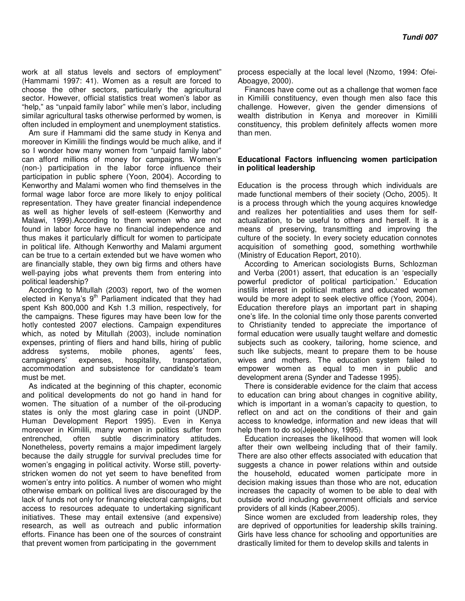work at all status levels and sectors of employment" (Hammami 1997: 41). Women as a result are forced to choose the other sectors, particularly the agricultural sector. However, official statistics treat women's labor as "help," as "unpaid family labor" while men's labor, including similar agricultural tasks otherwise performed by women, is often included in employment and unemployment statistics.

Am sure if Hammami did the same study in Kenya and moreover in Kimilili the findings would be much alike, and if so I wonder how many women from "unpaid family labor" can afford millions of money for campaigns. Women's (non-) participation in the labor force influence their participation in public sphere (Yoon, 2004). According to Kenworthy and Malami women who find themselves in the formal wage labor force are more likely to enjoy political representation. They have greater financial independence as well as higher levels of self-esteem (Kenworthy and Malawi, 1999).According to them women who are not found in labor force have no financial independence and thus makes it particularly difficult for women to participate in political life. Although Kenworthy and Malami argument can be true to a certain extended but we have women who are financially stable, they own big firms and others have well-paying jobs what prevents them from entering into political leadership?

According to Mitullah (2003) report, two of the women elected in Kenya's  $9<sup>th</sup>$  Parliament indicated that they had spent Ksh 800,000 and Ksh 1.3 million, respectively, for the campaigns. These figures may have been low for the hotly contested 2007 elections. Campaign expenditures which, as noted by Mitullah (2003), include nomination expenses, printing of fliers and hand bills, hiring of public address systems, mobile phones, agents' fees, campaigners' expenses, hospitality, transportation. accommodation and subsistence for candidate's team must be met.

As indicated at the beginning of this chapter, economic and political developments do not go hand in hand for women. The situation of a number of the oil-producing states is only the most glaring case in point (UNDP. Human Development Report 1995). Even in Kenya moreover in Kimilili, many women in politics suffer from entrenched, often subtle discriminatory attitudes. Nonetheless, poverty remains a major impediment largely because the daily struggle for survival precludes time for women's engaging in political activity. Worse still, povertystricken women do not yet seem to have benefited from women's entry into politics. A number of women who might otherwise embark on political lives are discouraged by the lack of funds not only for financing electoral campaigns, but access to resources adequate to undertaking significant initiatives. These may entail extensive (and expensive) research, as well as outreach and public information efforts. Finance has been one of the sources of constraint that prevent women from participating in the government

process especially at the local level (Nzomo, 1994: Ofei-Aboagye, 2000).

Finances have come out as a challenge that women face in Kimilili constituency, even though men also face this challenge. However, given the gender dimensions of wealth distribution in Kenya and moreover in Kimilili constituency, this problem definitely affects women more than men.

## **Educational Factors influencing women participation in political leadership**

Education is the process through which individuals are made functional members of their society (Ocho, 2005). It is a process through which the young acquires knowledge and realizes her potentialities and uses them for selfactualization, to be useful to others and herself. It is a means of preserving, transmitting and improving the culture of the society. In every society education connotes acquisition of something good, something worthwhile (Ministry of Education Report, 2010).

According to American sociologists Burns, Schlozman and Verba (2001) assert, that education is an 'especially powerful predictor of political participation.' Education instills interest in political matters and educated women would be more adept to seek elective office (Yoon, 2004). Education therefore plays an important part in shaping one's life. In the colonial time only those parents converted to Christianity tended to appreciate the importance of formal education were usually taught welfare and domestic subjects such as cookery, tailoring, home science, and such like subjects, meant to prepare them to be house wives and mothers. The education system failed to empower women as equal to men in public and development arena (Synder and Tadesse 1995).

There is considerable evidence for the claim that access to education can bring about changes in cognitive ability, which is important in a woman's capacity to question, to reflect on and act on the conditions of their and gain access to knowledge, information and new ideas that will help them to do so(Jejeebhoy, 1995).

Education increases the likelihood that women will look after their own wellbeing including that of their family. There are also other effects associated with education that suggests a chance in power relations within and outside the household, educated women participate more in decision making issues than those who are not, education increases the capacity of women to be able to deal with outside world including government officials and service providers of all kinds (Kabeer,2005).

Since women are excluded from leadership roles, they are deprived of opportunities for leadership skills training. Girls have less chance for schooling and opportunities are drastically limited for them to develop skills and talents in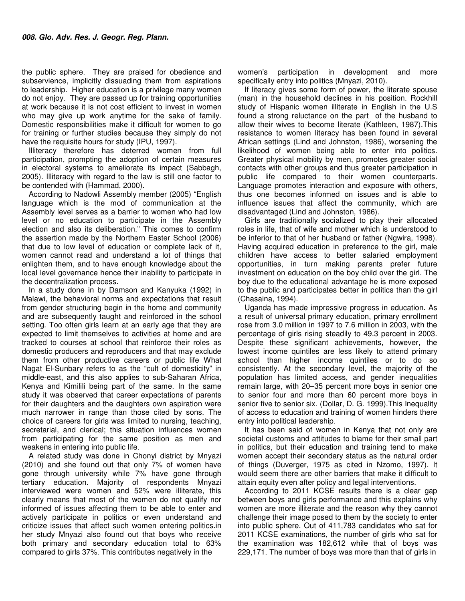the public sphere. They are praised for obedience and subservience, implicitly dissuading them from aspirations to leadership. Higher education is a privilege many women do not enjoy. They are passed up for training opportunities at work because it is not cost efficient to invest in women who may give up work anytime for the sake of family. Domestic responsibilities make it difficult for women to go for training or further studies because they simply do not have the requisite hours for study (IPU, 1997).

Illiteracy therefore has deterred women from full participation, prompting the adoption of certain measures in electoral systems to ameliorate its impact (Sabbagh, 2005). Illiteracy with regard to the law is still one factor to be contended with (Hammad, 2000).

According to Nadowli Assembly member (2005) "English language which is the mod of communication at the Assembly level serves as a barrier to women who had low level or no education to participate in the Assembly election and also its deliberation." This comes to confirm the assertion made by the Northern Easter School (2006) that due to low level of education or complete lack of it, women cannot read and understand a lot of things that enlighten them, and to have enough knowledge about the local level governance hence their inability to participate in the decentralization process.

In a study done in by Damson and Kanyuka (1992) in Malawi, the behavioral norms and expectations that result from gender structuring begin in the home and community and are subsequently taught and reinforced in the school setting. Too often girls learn at an early age that they are expected to limit themselves to activities at home and are tracked to courses at school that reinforce their roles as domestic producers and reproducers and that may exclude them from other productive careers or public life What Nagat El-Sunbary refers to as the "cult of domesticity" in middle-east, and this also applies to sub-Saharan Africa, Kenya and Kimilili being part of the same. In the same study it was observed that career expectations of parents for their daughters and the daughters own aspiration were much narrower in range than those cited by sons. The choice of careers for girls was limited to nursing, teaching, secretarial, and clerical; this situation influences women from participating for the same position as men and weakens in entering into public life.

A related study was done in Chonyi district by Mnyazi (2010) and she found out that only 7% of women have gone through university while 7% have gone through tertiary education. Majority of respondents Mnyazi interviewed were women and 52% were illiterate, this clearly means that most of the women do not qualify nor informed of issues affecting them to be able to enter and actively participate in politics or even understand and criticize issues that affect such women entering politics.in her study Mnyazi also found out that boys who receive both primary and secondary education total to 63% compared to girls 37%. This contributes negatively in the

women's participation in development and more specifically entry into politics (Mnyazi, 2010).

If literacy gives some form of power, the literate spouse (man) in the household declines in his position. Rockhill study of Hispanic women illiterate in English in the U.S found a strong reluctance on the part of the husband to allow their wives to become literate (Kathleen, 1987).This resistance to women literacy has been found in several African settings (Lind and Johnston, 1986), worsening the likelihood of women being able to enter into politics. Greater physical mobility by men, promotes greater social contacts with other groups and thus greater participation in public life compared to their women counterparts. Language promotes interaction and exposure with others, thus one becomes informed on issues and is able to influence issues that affect the community, which are disadvantaged (Lind and Johnston, 1986).

Girls are traditionally socialized to play their allocated roles in life, that of wife and mother which is understood to be inferior to that of her husband or father (Ngwira, 1998). Having acquired education in preference to the girl, male children have access to better salaried employment opportunities, in turn making parents prefer future investment on education on the boy child over the girl. The boy due to the educational advantage he is more exposed to the public and participates better in politics than the girl (Chasaina, 1994).

Uganda has made impressive progress in education. As a result of universal primary education, primary enrollment rose from 3.0 million in 1997 to 7.6 million in 2003, with the percentage of girls rising steadily to 49.3 percent in 2003. Despite these significant achievements, however, the lowest income quintiles are less likely to attend primary school than higher income quintiles or to do so consistently. At the secondary level, the majority of the population has limited access, and gender inequalities remain large, with 20–35 percent more boys in senior one to senior four and more than 60 percent more boys in senior five to senior six. (Dollar, D. G. 1999).This Inequality of access to education and training of women hinders there entry into political leadership.

It has been said of women in Kenya that not only are societal customs and attitudes to blame for their small part in politics, but their education and training tend to make women accept their secondary status as the natural order of things (Duverger, 1975 as cited in Nzomo, 1997). It would seem there are other barriers that make it difficult to attain equity even after policy and legal interventions.

According to 2011 KCSE results there is a clear gap between boys and girls performance and this explains why women are more illiterate and the reason why they cannot challenge their image posed to them by the society to enter into public sphere. Out of 411,783 candidates who sat for 2011 KCSE examinations, the number of girls who sat for the examination was 182,612 while that of boys was 229,171. The number of boys was more than that of girls in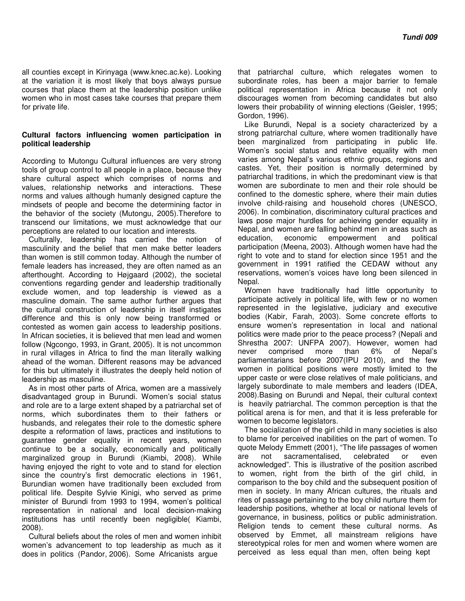all counties except in Kirinyaga (www.knec.ac.ke). Looking at the variation it is most likely that boys always pursue courses that place them at the leadership position unlike women who in most cases take courses that prepare them for private life.

## **Cultural factors influencing women participation in political leadership**

According to Mutongu Cultural influences are very strong tools of group control to all people in a place, because they share cultural aspect which comprises of norms and values, relationship networks and interactions. These norms and values although humanly designed capture the mindsets of people and become the determining factor in the behavior of the society (Mutongu, 2005).Therefore to transcend our limitations, we must acknowledge that our perceptions are related to our location and interests.

Culturally, leadership has carried the notion of masculinity and the belief that men make better leaders than women is still common today. Although the number of female leaders has increased, they are often named as an afterthought. According to Højgaard (2002), the societal conventions regarding gender and leadership traditionally exclude women, and top leadership is viewed as a masculine domain. The same author further argues that the cultural construction of leadership in itself instigates difference and this is only now being transformed or contested as women gain access to leadership positions. In African societies, it is believed that men lead and women follow (Ngcongo, 1993, in Grant, 2005). It is not uncommon in rural villages in Africa to find the man literally walking ahead of the woman. Different reasons may be advanced for this but ultimately it illustrates the deeply held notion of leadership as masculine.

As in most other parts of Africa, women are a massively disadvantaged group in Burundi. Women's social status and role are to a large extent shaped by a patriarchal set of norms, which subordinates them to their fathers or husbands, and relegates their role to the domestic sphere despite a reformation of laws, practices and institutions to guarantee gender equality in recent years, women continue to be a socially, economically and politically marginalized group in Burundi (Kiambi, 2008). While having enjoyed the right to vote and to stand for election since the country's first democratic elections in 1961, Burundian women have traditionally been excluded from political life. Despite Sylvie Kinigi, who served as prime minister of Burundi from 1993 to 1994, women's political representation in national and local decision‐making institutions has until recently been negligible( Kiambi, 2008).

Cultural beliefs about the roles of men and women inhibit women's advancement to top leadership as much as it does in politics (Pandor, 2006). Some Africanists argue

that patriarchal culture, which relegates women to subordinate roles, has been a major barrier to female political representation in Africa because it not only discourages women from becoming candidates but also lowers their probability of winning elections (Geisler, 1995; Gordon, 1996).

Like Burundi, Nepal is a society characterized by a strong patriarchal culture, where women traditionally have been marginalized from participating in public life. Women's social status and relative equality with men varies among Nepal's various ethnic groups, regions and castes. Yet, their position is normally determined by patriarchal traditions, in which the predominant view is that women are subordinate to men and their role should be confined to the domestic sphere, where their main duties involve child‐raising and household chores (UNESCO, 2006). In combination, discriminatory cultural practices and laws pose major hurdles for achieving gender equality in Nepal, and women are falling behind men in areas such as education, economic empowerment and political participation (Meena, 2003). Although women have had the right to vote and to stand for election since 1951 and the government in 1991 ratified the CEDAW without any reservations, women's voices have long been silenced in Nepal.

Women have traditionally had little opportunity to participate actively in political life, with few or no women represented in the legislative, judiciary and executive bodies (Kabir, Farah, 2003). Some concrete efforts to ensure women's representation in local and national politics were made prior to the peace process? (Nepali and Shrestha 2007: UNFPA 2007). However, women had never comprised more than 6% of Nepal's parliamentarians before 2007(IPU 2010), and the few women in political positions were mostly limited to the upper caste or were close relatives of male politicians, and largely subordinate to male members and leaders (IDEA, 2008).Basing on Burundi and Nepal, their cultural context is heavily patriarchal. The common perception is that the political arena is for men, and that it is less preferable for women to become legislators.

The socialization of the girl child in many societies is also to blame for perceived inabilities on the part of women. To quote Melody Emmett (2001), "The life passages of women are not sacramentalised, celebrated or even acknowledged". This is illustrative of the position ascribed to women, right from the birth of the girl child, in comparison to the boy child and the subsequent position of men in society. In many African cultures, the rituals and rites of passage pertaining to the boy child nurture them for leadership positions, whether at local or national levels of governance, in business, politics or public administration. Religion tends to cement these cultural norms. As observed by Emmet, all mainstream religions have stereotypical roles for men and women where women are perceived as less equal than men, often being kept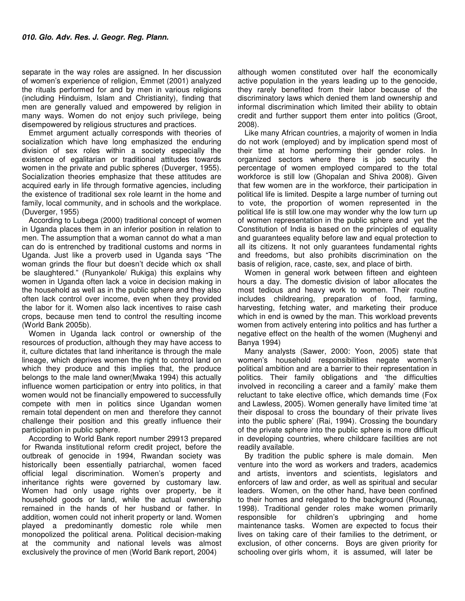separate in the way roles are assigned. In her discussion of women's experience of religion, Emmet (2001) analyzed the rituals performed for and by men in various religions (including Hinduism, Islam and Christianity), finding that men are generally valued and empowered by religion in many ways. Women do not enjoy such privilege, being disempowered by religious structures and practices.

Emmet argument actually corresponds with theories of socialization which have long emphasized the enduring division of sex roles within a society especially the existence of egalitarian or traditional attitudes towards women in the private and public spheres (Duverger, 1955). Socialization theories emphasize that these attitudes are acquired early in life through formative agencies, including the existence of traditional sex role learnt in the home and family, local community, and in schools and the workplace. (Duverger, 1955)

According to Lubega (2000) traditional concept of women in Uganda places them in an inferior position in relation to men. The assumption that a woman cannot do what a man can do is entrenched by traditional customs and norms in Uganda. Just like a proverb used in Uganda says "The woman grinds the flour but doesn't decide which ox shall be slaughtered." (Runyankole/ Rukiga) this explains why women in Uganda often lack a voice in decision making in the household as well as in the public sphere and they also often lack control over income, even when they provided the labor for it. Women also lack incentives to raise cash crops, because men tend to control the resulting income (World Bank 2005b).

Women in Uganda lack control or ownership of the resources of production, although they may have access to it, culture dictates that land inheritance is through the male lineage, which deprives women the right to control land on which they produce and this implies that, the produce belongs to the male land owner(Mwaka 1994) this actually influence women participation or entry into politics, in that women would not be financially empowered to successfully compete with men in politics since Ugandan women remain total dependent on men and therefore they cannot challenge their position and this greatly influence their participation in public sphere.

According to World Bank report number 29913 prepared for Rwanda institutional reform credit project, before the outbreak of genocide in 1994, Rwandan society was historically been essentially patriarchal, women faced official legal discrimination. Women's property and inheritance rights were governed by customary law. Women had only usage rights over property, be it household goods or land, while the actual ownership remained in the hands of her husband or father. In addition, women could not inherit property or land. Women played a predominantly domestic role while men monopolized the political arena. Political decision-making at the community and national levels was almost exclusively the province of men (World Bank report, 2004)

although women constituted over half the economically active population in the years leading up to the genocide, they rarely benefited from their labor because of the discriminatory laws which denied them land ownership and informal discrimination which limited their ability to obtain credit and further support them enter into politics (Groot, 2008).

Like many African countries, a majority of women in India do not work (employed) and by implication spend most of their time at home performing their gender roles. In organized sectors where there is job security the percentage of women employed compared to the total workforce is still low (Ghopalan and Shiva 2008). Given that few women are in the workforce, their participation in political life is limited. Despite a large number of turning out to vote, the proportion of women represented in the political life is still low.one may wonder why the low turn up of women representation in the public sphere and yet the Constitution of India is based on the principles of equality and guarantees equality before law and equal protection to all its citizens. It not only guarantees fundamental rights and freedoms, but also prohibits discrimination on the basis of religion, race, caste, sex, and place of birth.

Women in general work between fifteen and eighteen hours a day. The domestic division of labor allocates the most tedious and heavy work to women. Their routine includes childrearing, preparation of food, farming, harvesting, fetching water, and marketing their produce which in end is owned by the man. This workload prevents women from actively entering into politics and has further a negative effect on the health of the women (Mughenyi and Banya 1994)

Many analysts (Sawer, 2000: Yoon, 2005) state that women's household responsibilities negate women's political ambition and are a barrier to their representation in politics. Their family obligations and 'the difficulties involved in reconciling a career and a family' make them reluctant to take elective office, which demands time (Fox and Lawless, 2005). Women generally have limited time 'at their disposal to cross the boundary of their private lives into the public sphere' (Rai, 1994). Crossing the boundary of the private sphere into the public sphere is more difficult in developing countries, where childcare facilities are not readily available.

By tradition the public sphere is male domain. Men venture into the word as workers and traders, academics and artists, inventors and scientists, legislators and enforcers of law and order, as well as spiritual and secular leaders. Women, on the other hand, have been confined to their homes and relegated to the background (Rounaq, 1998). Traditional gender roles make women primarily responsible for children's upbringing and home maintenance tasks. Women are expected to focus their lives on taking care of their families to the detriment, or exclusion, of other concerns. Boys are given priority for schooling over girls whom, it is assumed, will later be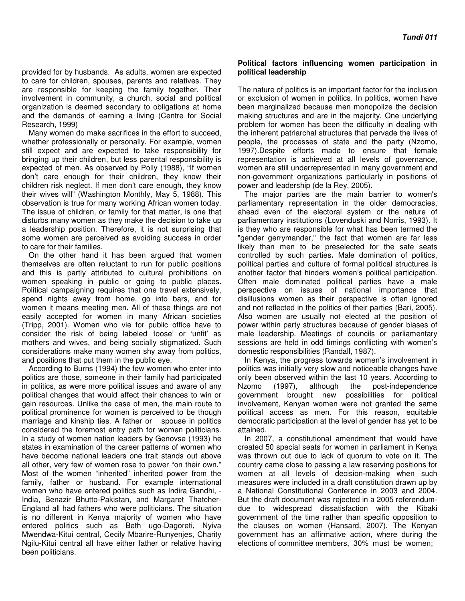provided for by husbands. As adults, women are expected to care for children, spouses, parents and relatives. They are responsible for keeping the family together. Their involvement in community, a church, social and political organization is deemed secondary to obligations at home and the demands of earning a living (Centre for Social Research, 1999)

Many women do make sacrifices in the effort to succeed, whether professionally or personally. For example, women still expect and are expected to take responsibility for bringing up their children, but less parental responsibility is expected of men. As observed by Polly (1988), "If women don't care enough for their children, they know their children risk neglect. If men don't care enough, they know their wives will" (Washington Monthly, May 5, 1988). This observation is true for many working African women today. The issue of children, or family for that matter, is one that disturbs many women as they make the decision to take up a leadership position. Therefore, it is not surprising that some women are perceived as avoiding success in order to care for their families.

On the other hand it has been argued that women themselves are often reluctant to run for public positions and this is partly attributed to cultural prohibitions on women speaking in public or going to public places. Political campaigning requires that one travel extensively, spend nights away from home, go into bars, and for women it means meeting men. All of these things are not easily accepted for women in many African societies (Tripp, 2001). Women who vie for public office have to consider the risk of being labeled 'loose' or 'unfit' as mothers and wives, and being socially stigmatized. Such considerations make many women shy away from politics, and positions that put them in the public eye.

According to Burns (1994) the few women who enter into politics are those, someone in their family had participated in politics, as were more political issues and aware of any political changes that would affect their chances to win or gain resources. Unlike the case of men, the main route to political prominence for women is perceived to be though marriage and kinship ties. A father or spouse in politics considered the foremost entry path for women politicians. In a study of women nation leaders by Genovse (1993) he states in examination of the career patterns of women who have become national leaders one trait stands out above all other, very few of women rose to power "on their own." Most of the women "inherited" inherited power from the family, father or husband. For example international women who have entered politics such as Indira Gandhi, - India, Benazir Bhutto-Pakistan, and Margaret Thatcher-England all had fathers who were politicians. The situation is no different in Kenya majority of women who have entered politics such as Beth ugo-Dagoreti, Nyiva Mwendwa-Kitui central, Cecily Mbarire-Runyenjes, Charity Ngilu-Kitui central all have either father or relative having been politicians.

#### **Political factors influencing women participation in political leadership**

The nature of politics is an important factor for the inclusion or exclusion of women in politics. In politics, women have been marginalized because men monopolize the decision making structures and are in the majority. One underlying problem for women has been the difficulty in dealing with the inherent patriarchal structures that pervade the lives of people, the processes of state and the party (Nzomo, 1997).Despite efforts made to ensure that female representation is achieved at all levels of governance, women are still underrepresented in many government and non-government organizations particularly in positions of power and leadership (de la Rey, 2005).

The major parties are the main barrier to women's parliamentary representation in the older democracies, ahead even of the electoral system or the nature of parliamentary institutions (Lovenduski and Norris, 1993). It is they who are responsible for what has been termed the "gender gerrymander," the fact that women are far less likely than men to be preselected for the safe seats controlled by such parties**.** Male domination of politics, political parties and culture of formal political structures is another factor that hinders women's political participation. Often male dominated political parties have a male perspective on issues of national importance that disillusions women as their perspective is often ignored and not reflected in the politics of their parties (Bari, 2005). Also women are usually not elected at the position of power within party structures because of gender biases of male leadership. Meetings of councils or parliamentary sessions are held in odd timings conflicting with women's domestic responsibilities (Randall, 1987).

In Kenya, the progress towards women's involvement in politics was initially very slow and noticeable changes have only been observed within the last 10 years. According to Nzomo (1997), although the post-independence government brought new possibilities for political involvement, Kenyan women were not granted the same political access as men. For this reason, equitable democratic participation at the level of gender has yet to be attained.

In 2007, a constitutional amendment that would have created 50 special seats for women in parliament in Kenya was thrown out due to lack of quorum to vote on it. The country came close to passing a law reserving positions for women at all levels of decision-making when such measures were included in a draft constitution drawn up by a National Constitutional Conference in 2003 and 2004. But the draft document was rejected in a 2005 referendumdue to widespread dissatisfaction with the Kibaki government of the time rather than specific opposition to the clauses on women (Hansard, 2007). The Kenyan government has an affirmative action, where during the elections of committee members, 30% must be women;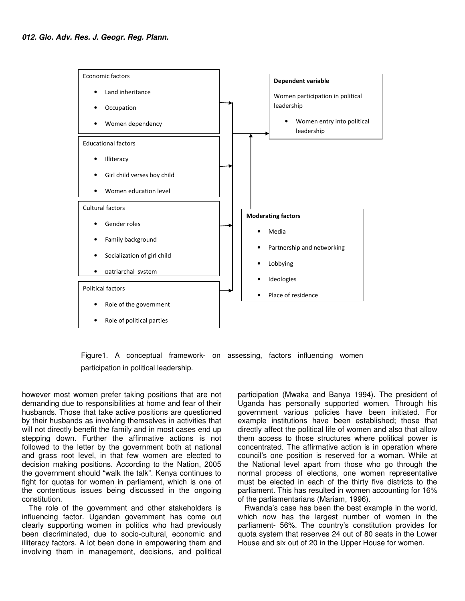

Figure1. A conceptual framework- on assessing, factors influencing women participation in political leadership.

however most women prefer taking positions that are not demanding due to responsibilities at home and fear of their husbands. Those that take active positions are questioned by their husbands as involving themselves in activities that will not directly benefit the family and in most cases end up stepping down. Further the affirmative actions is not followed to the letter by the government both at national and grass root level, in that few women are elected to decision making positions. According to the Nation, 2005 the government should "walk the talk". Kenya continues to fight for quotas for women in parliament, which is one of the contentious issues being discussed in the ongoing constitution.

The role of the government and other stakeholders is influencing factor. Ugandan government has come out clearly supporting women in politics who had previously been discriminated, due to socio-cultural, economic and illiteracy factors. A lot been done in empowering them and involving them in management, decisions, and political

participation (Mwaka and Banya 1994). The president of Uganda has personally supported women. Through his government various policies have been initiated. For example institutions have been established; those that directly affect the political life of women and also that allow them access to those structures where political power is concentrated. The affirmative action is in operation where council's one position is reserved for a woman. While at the National level apart from those who go through the normal process of elections, one women representative must be elected in each of the thirty five districts to the parliament. This has resulted in women accounting for 16% of the parliamentarians (Mariam, 1996).

Rwanda's case has been the best example in the world, which now has the largest number of women in the parliament- 56%. The country's constitution provides for quota system that reserves 24 out of 80 seats in the Lower House and six out of 20 in the Upper House for women.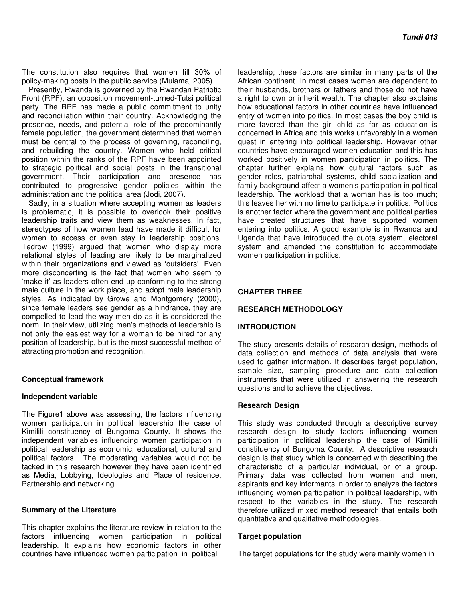The constitution also requires that women fill 30% of policy-making posts in the public service (Mulama, 2005).

Presently, Rwanda is governed by the Rwandan Patriotic Front (RPF), an opposition movement-turned-Tutsi political party. The RPF has made a public commitment to unity and reconciliation within their country. Acknowledging the presence, needs, and potential role of the predominantly female population, the government determined that women must be central to the process of governing, reconciling, and rebuilding the country. Women who held critical position within the ranks of the RPF have been appointed to strategic political and social posts in the transitional government. Their participation and presence has contributed to progressive gender policies within the administration and the political area (Jodi, 2007).

Sadly, in a situation where accepting women as leaders is problematic, it is possible to overlook their positive leadership traits and view them as weaknesses. In fact, stereotypes of how women lead have made it difficult for women to access or even stay in leadership positions. Tedrow (1999) argued that women who display more relational styles of leading are likely to be marginalized within their organizations and viewed as 'outsiders'. Even more disconcerting is the fact that women who seem to 'make it' as leaders often end up conforming to the strong male culture in the work place, and adopt male leadership styles. As indicated by Growe and Montgomery (2000), since female leaders see gender as a hindrance, they are compelled to lead the way men do as it is considered the norm. In their view, utilizing men's methods of leadership is not only the easiest way for a woman to be hired for any position of leadership, but is the most successful method of attracting promotion and recognition.

#### **Conceptual framework**

#### **Independent variable**

The Figure1 above was assessing, the factors influencing women participation in political leadership the case of Kimilili constituency of Bungoma County. It shows the independent variables influencing women participation in political leadership as economic, educational, cultural and political factors. The moderating variables would not be tacked in this research however they have been identified as Media, Lobbying, Ideologies and Place of residence, Partnership and networking

#### **Summary of the Literature**

This chapter explains the literature review in relation to the factors influencing women participation in political leadership. It explains how economic factors in other countries have influenced women participation in political

leadership; these factors are similar in many parts of the African continent. In most cases women are dependent to their husbands, brothers or fathers and those do not have a right to own or inherit wealth. The chapter also explains how educational factors in other countries have influenced entry of women into politics. In most cases the boy child is more favored than the girl child as far as education is concerned in Africa and this works unfavorably in a women quest in entering into political leadership. However other countries have encouraged women education and this has worked positively in women participation in politics. The chapter further explains how cultural factors such as gender roles, patriarchal systems, child socialization and family background affect a women's participation in political leadership. The workload that a woman has is too much; this leaves her with no time to participate in politics. Politics is another factor where the government and political parties have created structures that have supported women entering into politics. A good example is in Rwanda and Uganda that have introduced the quota system, electoral system and amended the constitution to accommodate women participation in politics.

#### **CHAPTER THREE**

## **RESEARCH METHODOLOGY**

#### **INTRODUCTION**

The study presents details of research design, methods of data collection and methods of data analysis that were used to gather information. It describes target population, sample size, sampling procedure and data collection instruments that were utilized in answering the research questions and to achieve the objectives.

#### **Research Design**

This study was conducted through a descriptive survey research design to study factors influencing women participation in political leadership the case of Kimilili constituency of Bungoma County. A descriptive research design is that study which is concerned with describing the characteristic of a particular individual, or of a group. Primary data was collected from women and men, aspirants and key informants in order to analyze the factors influencing women participation in political leadership, with respect to the variables in the study. The research therefore utilized mixed method research that entails both quantitative and qualitative methodologies.

#### **Target population**

The target populations for the study were mainly women in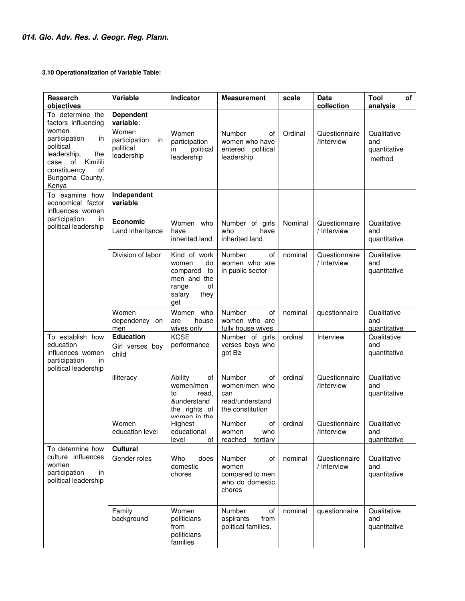**3.10 Operationalization of Variable Table:** 

| <b>Research</b><br>objectives                                                                                                                                                       | Variable                                                                                 | Indicator                                                                                                              | <b>Measurement</b>                                                          | scale   | <b>Data</b><br>collection    | Tool<br>of<br>analysis                             |
|-------------------------------------------------------------------------------------------------------------------------------------------------------------------------------------|------------------------------------------------------------------------------------------|------------------------------------------------------------------------------------------------------------------------|-----------------------------------------------------------------------------|---------|------------------------------|----------------------------------------------------|
| To determine the<br>factors influencing<br>women<br>participation<br>ın<br>political<br>leadership,<br>the<br>Kimilili<br>case of<br>constituency<br>of<br>Bungoma County,<br>Kenya | <b>Dependent</b><br>variable:<br>Women<br>participation<br>in<br>political<br>leadership | Women<br>participation<br>political<br>in<br>leadership                                                                | Number<br>οf<br>women who have<br>entered political<br>leadership           | Ordinal | Questionnaire<br>/Interview  | Qualitative<br>and<br>quantitative<br>method       |
| To examine how<br>economical factor<br>influences women<br>participation<br>in<br>political leadership                                                                              | Independent<br>variable<br><b>Economic</b><br>Land inheritance                           | Women who<br>have                                                                                                      | Number of girls<br>who<br>have                                              | Nominal | Questionnaire<br>/ Interview | Qualitative<br>and                                 |
|                                                                                                                                                                                     | Division of labor                                                                        | inherited land<br>Kind of work<br>do<br>women<br>compared<br>to<br>men and the<br>οf<br>range<br>salary<br>they<br>get | inherited land<br>Number<br>0f<br>women who are<br>in public sector         | nominal | Questionnaire<br>/ Interview | quantitative<br>Qualitative<br>and<br>quantitative |
|                                                                                                                                                                                     | Women<br>dependency<br>on<br>men                                                         | Women who<br>house<br>are<br>wives only                                                                                | Number<br>of<br>women who are<br>fully house wives                          | nominal | questionnaire                | Qualitative<br>and<br>quantitative                 |
| To establish how<br>education<br>influences women<br>participation<br>in.<br>political leadership                                                                                   | <b>Education</b><br>Girl verses boy<br>child                                             | <b>KCSE</b><br>performance                                                                                             | Number of girls<br>verses boys who<br>got B≥                                | ordinal | Interview                    | Qualitative<br>and<br>quantitative                 |
|                                                                                                                                                                                     | illiteracy                                                                               | Ability<br>of<br>women/men<br>to<br>read,<br>&understand<br>the rights of<br>women in the                              | of<br>Number<br>women/men who<br>can<br>read/understand<br>the constitution | ordinal | Questionnaire<br>/Interview  | Qualitative<br>and<br>quantitative                 |
|                                                                                                                                                                                     | Women<br>education level                                                                 | Highest<br>educational<br>level<br>οf                                                                                  | Number<br>of<br>who<br>women<br>reached<br>tertiary                         | ordinal | Questionnaire<br>/Interview  | Qualitative<br>and<br>quantitative                 |
| To determine how<br>culture influences<br>women<br>participation<br>in<br>political leadership                                                                                      | <b>Cultural</b><br>Gender roles                                                          | Who<br>does<br>domestic<br>chores                                                                                      | Number<br>οf<br>women<br>compared to men<br>who do domestic<br>chores       | nominal | Questionnaire<br>/ Interview | Qualitative<br>and<br>quantitative                 |
|                                                                                                                                                                                     | Family<br>background                                                                     | Women<br>politicians<br>from<br>politicians<br>families                                                                | Number<br>οf<br>aspirants<br>from<br>political families.                    | nominal | questionnaire                | Qualitative<br>and<br>quantitative                 |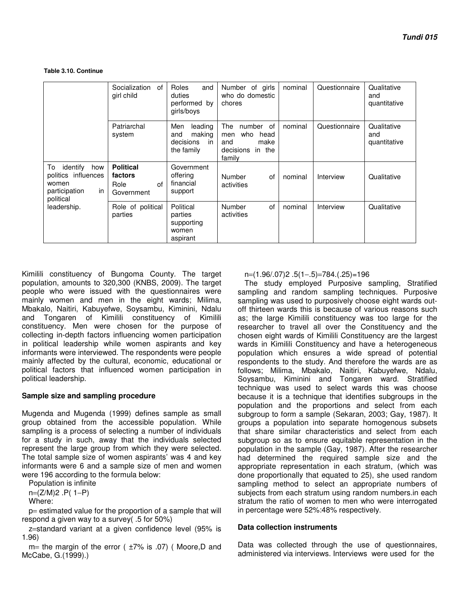**Table 3.10. Continue** 

|                                                                                           | Socialization<br>of<br>girl child                       | Roles<br>and<br>duties<br>performed by<br>girls/boys             | Number of girls<br>who do domestic<br>chores                                           | nominal | Questionnaire | Qualitative<br>and<br>quantitative |
|-------------------------------------------------------------------------------------------|---------------------------------------------------------|------------------------------------------------------------------|----------------------------------------------------------------------------------------|---------|---------------|------------------------------------|
|                                                                                           | Patriarchal<br>system                                   | Men<br>leading<br>making<br>and<br>decisions<br>in<br>the family | The<br>number of<br>who<br>head<br>men<br>and<br>make<br>decisions<br>in the<br>family | nominal | Questionnaire | Qualitative<br>and<br>quantitative |
| identify<br>To<br>how<br>politics influences<br>women<br>in<br>participation<br>political | <b>Political</b><br>factors<br>of<br>Role<br>Government | Government<br>offering<br>financial<br>support                   | Number<br>of<br>activities                                                             | nominal | Interview     | Qualitative                        |
| leadership.                                                                               | Role of political<br>parties                            | Political<br>parties<br>supporting<br>women<br>aspirant          | of<br>Number<br>activities                                                             | nominal | Interview     | Qualitative                        |

Kimilili constituency of Bungoma County. The target population, amounts to 320,300 (KNBS, 2009). The target people who were issued with the questionnaires were mainly women and men in the eight wards; Milima, Mbakalo, Naitiri, Kabuyefwe, Soysambu, Kiminini, Ndalu and Tongaren of Kimilili constituency of Kimilili constituency. Men were chosen for the purpose of collecting in-depth factors influencing women participation in political leadership while women aspirants and key informants were interviewed. The respondents were people mainly affected by the cultural, economic, educational or political factors that influenced women participation in political leadership.

## **Sample size and sampling procedure**

Mugenda and Mugenda (1999) defines sample as small group obtained from the accessible population. While sampling is a process of selecting a number of individuals for a study in such, away that the individuals selected represent the large group from which they were selected. The total sample size of women aspirants' was 4 and key informants were 6 and a sample size of men and women were 196 according to the formula below:

Population is infinite n=(Z/M)2 .P( 1−P)

Where:

p= estimated value for the proportion of a sample that will respond a given way to a survey( .5 for 50%)

z=standard variant at a given confidence level (95% is 1.96)

 $m=$  the margin of the error ( $\pm 7\%$  is .07) (Moore,D and McCabe, G.(1999).)

n=(1.96/.07)2 .5(1−.5)=784.(.25)=196

The study employed Purposive sampling, Stratified sampling and random sampling techniques. Purposive sampling was used to purposively choose eight wards outoff thirteen wards this is because of various reasons such as; the large Kimilili constituency was too large for the researcher to travel all over the Constituency and the chosen eight wards of Kimilili Constituency are the largest wards in Kimilili Constituency and have a heterogeneous population which ensures a wide spread of potential respondents to the study. And therefore the wards are as follows; Milima, Mbakalo, Naitiri, Kabuyefwe, Ndalu, Soysambu, Kiminini and Tongaren ward. Stratified technique was used to select wards this was choose because it is a technique that identifies subgroups in the population and the proportions and select from each subgroup to form a sample (Sekaran, 2003; Gay, 1987). It groups a population into separate homogenous subsets that share similar characteristics and select from each subgroup so as to ensure equitable representation in the population in the sample (Gay, 1987). After the researcher had determined the required sample size and the appropriate representation in each stratum, (which was done proportionally that equated to 25), she used random sampling method to select an appropriate numbers of subjects from each stratum using random numbers.in each stratum the ratio of women to men who were interrogated in percentage were 52%:48% respectively.

## **Data collection instruments**

Data was collected through the use of questionnaires, administered via interviews. Interviews were used for the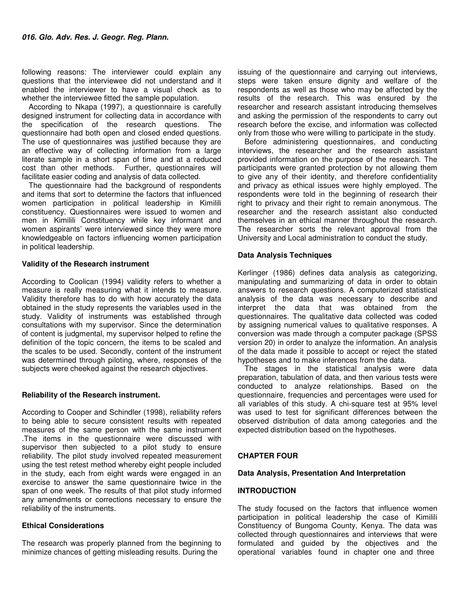following reasons: The interviewer could explain any questions that the interviewee did not understand and it enabled the interviewer to have a visual check as to whether the interviewee fitted the sample population.

According to Nkapa (1997), a questionnaire is carefully designed instrument for collecting data in accordance with the specification of the research questions. The questionnaire had both open and closed ended questions. The use of questionnaires was justified because they are an effective way of collecting information from a large literate sample in a short span of time and at a reduced cost than other methods. Further, questionnaires will facilitate easier coding and analysis of data collected.

The questionnaire had the background of respondents and items that sort to determine the factors that influenced women participation in political leadership in Kimilili constituency. Questionnaires were issued to women and men in Kimilili Constituency while key informant and women aspirants' were interviewed since they were more knowledgeable on factors influencing women participation in political leadership.

## **Validity of the Research instrument**

According to Coolican (1994) validity refers to whether a measure is really measuring what it intends to measure. Validity therefore has to do with how accurately the data obtained in the study represents the variables used in the study. Validity of instruments was established through consultations with my supervisor. Since the determination of content is judgmental, my supervisor helped to refine the definition of the topic concern, the items to be scaled and the scales to be used. Secondly, content of the instrument was determined through piloting, where, responses of the subjects were cheeked against the research objectives.

## **Reliability of the Research instrument.**

According to Cooper and Schindler (1998), reliability refers to being able to secure consistent results with repeated measures of the same person with the same instrument .The items in the questionnaire were discussed with supervisor then subjected to a pilot study to ensure reliability. The pilot study involved repeated measurement using the test retest method whereby eight people included in the study, each from eight wards were engaged in an exercise to answer the same questionnaire twice in the span of one week. The results of that pilot study informed any amendments or corrections necessary to ensure the reliability of the instruments.

## **Ethical Considerations**

The research was properly planned from the beginning to minimize chances of getting misleading results. During the

issuing of the questionnaire and carrying out interviews, steps were taken ensure dignity and welfare of the respondents as well as those who may be affected by the results of the research. This was ensured by the researcher and research assistant introducing themselves and asking the permission of the respondents to carry out research before the excise, and information was collected only from those who were willing to participate in the study.

Before administering questionnaires, and conducting interviews, the researcher and the research assistant provided information on the purpose of the research. The participants were granted protection by not allowing them to give any of their identity, and therefore confidentiality and privacy as ethical issues were highly employed. The respondents were told in the beginning of research their right to privacy and their right to remain anonymous. The researcher and the research assistant also conducted themselves in an ethical manner throughout the research. The researcher sorts the relevant approval from the University and Local administration to conduct the study.

## **Data Analysis Techniques**

Kerlinger (1986) defines data analysis as categorizing, manipulating and summarizing of data in order to obtain answers to research questions. A computerized statistical analysis of the data was necessary to describe and interpret the data that was obtained from the questionnaires. The qualitative data collected was coded by assigning numerical values to qualitative responses. A conversion was made through a computer package (SPSS version 20) in order to analyze the information. An analysis of the data made it possible to accept or reject the stated hypotheses and to make inferences from the data.

The stages in the statistical analysis were data preparation, tabulation of data, and then various tests were conducted to analyze relationships. Based on the questionnaire, frequencies and percentages were used for all variables of this study. A chi-square test at 95% level was used to test for significant differences between the observed distribution of data among categories and the expected distribution based on the hypotheses.

## **CHAPTER FOUR**

#### **Data Analysis, Presentation And Interpretation**

## **INTRODUCTION**

The study focused on the factors that influence women participation in political leadership the case of Kimilili Constituency of Bungoma County, Kenya. The data was collected through questionnaires and interviews that were formulated and guided by the objectives and the operational variables found in chapter one and three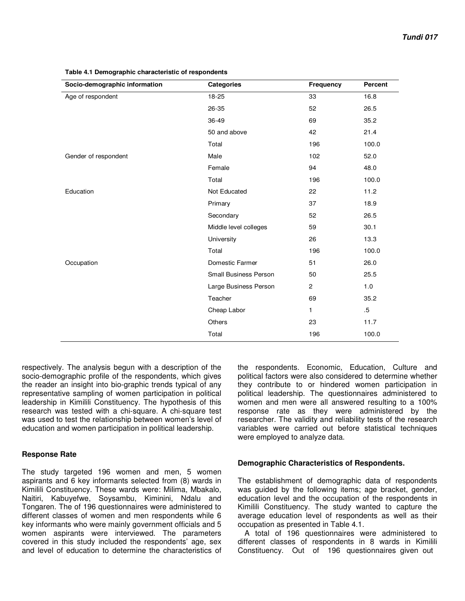| Socio-demographic information | <b>Categories</b>            | <b>Frequency</b> | Percent |
|-------------------------------|------------------------------|------------------|---------|
| Age of respondent             | 18-25                        | 33               | 16.8    |
|                               | 26-35                        | 52               | 26.5    |
|                               | 36-49                        | 69               | 35.2    |
|                               | 50 and above                 | 42               | 21.4    |
|                               | Total                        | 196              | 100.0   |
| Gender of respondent          | Male                         | 102              | 52.0    |
|                               | Female                       | 94               | 48.0    |
|                               | Total                        | 196              | 100.0   |
| Education                     | Not Educated                 | 22               | 11.2    |
|                               | Primary                      | 37               | 18.9    |
|                               | Secondary                    | 52               | 26.5    |
|                               | Middle level colleges        | 59               | 30.1    |
|                               | University                   | 26               | 13.3    |
|                               | Total                        | 196              | 100.0   |
| Occupation                    | Domestic Farmer              | 51               | 26.0    |
|                               | <b>Small Business Person</b> | 50               | 25.5    |
|                               | Large Business Person        | $\overline{2}$   | 1.0     |
|                               | Teacher                      | 69               | 35.2    |
|                               | Cheap Labor                  | 1                | $.5\,$  |
|                               | Others                       | 23               | 11.7    |
|                               | Total                        | 196              | 100.0   |

**Table 4.1 Demographic characteristic of respondents**

respectively. The analysis begun with a description of the socio-demographic profile of the respondents, which gives the reader an insight into bio-graphic trends typical of any representative sampling of women participation in political leadership in Kimilili Constituency. The hypothesis of this research was tested with a chi-square. A chi-square test was used to test the relationship between women's level of education and women participation in political leadership.

## **Response Rate**

The study targeted 196 women and men, 5 women aspirants and 6 key informants selected from (8) wards in Kimilili Constituency. These wards were: Milima, Mbakalo, Naitiri, Kabuyefwe, Soysambu, Kiminini, Ndalu and Tongaren. The of 196 questionnaires were administered to different classes of women and men respondents while 6 key informants who were mainly government officials and 5 women aspirants were interviewed. The parameters covered in this study included the respondents' age, sex and level of education to determine the characteristics of the respondents. Economic, Education, Culture and political factors were also considered to determine whether they contribute to or hindered women participation in political leadership. The questionnaires administered to women and men were all answered resulting to a 100% response rate as they were administered by the researcher. The validity and reliability tests of the research variables were carried out before statistical techniques were employed to analyze data.

## **Demographic Characteristics of Respondents.**

The establishment of demographic data of respondents was guided by the following items; age bracket, gender, education level and the occupation of the respondents in Kimilili Constituency. The study wanted to capture the average education level of respondents as well as their occupation as presented in Table 4.1.

A total of 196 questionnaires were administered to different classes of respondents in 8 wards in Kimilili Constituency. Out of 196 questionnaires given out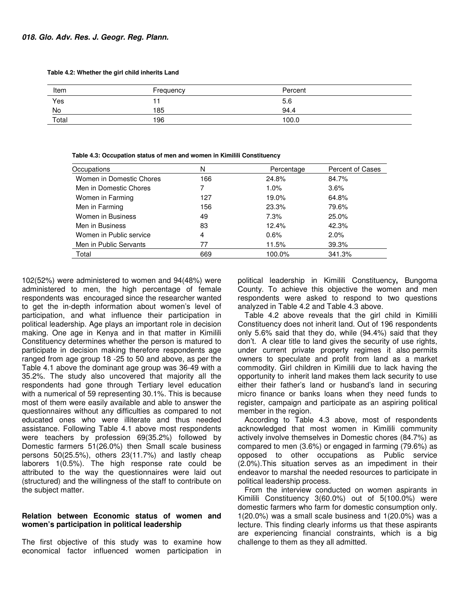**Table 4.2: Whether the girl child inherits Land** 

| Item  | Frequency | Percent |
|-------|-----------|---------|
| Yes   |           | 5.6     |
| No    | 185       | 94.4    |
| Total | 196       | 100.0   |

| Occupations              | Ν   | Percentage | Percent of Cases |
|--------------------------|-----|------------|------------------|
| Women in Domestic Chores | 166 | 24.8%      | 84.7%            |
| Men in Domestic Chores   |     | $1.0\%$    | $3.6\%$          |
| Women in Farming         | 127 | 19.0%      | 64.8%            |
| Men in Farming           | 156 | 23.3%      | 79.6%            |
| Women in Business        | 49  | 7.3%       | $25.0\%$         |
| Men in Business          | 83  | 12.4%      | 42.3%            |
| Women in Public service  | 4   | 0.6%       | $2.0\%$          |
| Men in Public Servants   | 77  | 11.5%      | 39.3%            |
| Total                    | 669 | 100.0%     | 341.3%           |

**Table 4.3: Occupation status of men and women in Kimilili Constituency**

102(52%) were administered to women and 94(48%) were administered to men, the high percentage of female respondents was encouraged since the researcher wanted to get the in-depth information about women's level of participation, and what influence their participation in political leadership. Age plays an important role in decision making. One age in Kenya and in that matter in Kimilili Constituency determines whether the person is matured to participate in decision making therefore respondents age ranged from age group 18 -25 to 50 and above, as per the Table 4.1 above the dominant age group was 36-49 with a 35.2%. The study also uncovered that majority all the respondents had gone through Tertiary level education with a numerical of 59 representing 30.1%. This is because most of them were easily available and able to answer the questionnaires without any difficulties as compared to not educated ones who were illiterate and thus needed assistance. Following Table 4.1 above most respondents were teachers by profession 69(35.2%) followed by Domestic farmers 51(26.0%) then Small scale business persons 50(25.5%), others 23(11.7%) and lastly cheap laborers 1(0.5%). The high response rate could be attributed to the way the questionnaires were laid out (structured) and the willingness of the staff to contribute on the subject matter.

#### **Relation between Economic status of women and women's participation in political leadership**

The first objective of this study was to examine how economical factor influenced women participation in political leadership in Kimilili Constituency**,** Bungoma County. To achieve this objective the women and men respondents were asked to respond to two questions analyzed in Table 4.2 and Table 4.3 above.

Table 4.2 above reveals that the girl child in Kimilili Constituency does not inherit land. Out of 196 respondents only 5.6% said that they do, while (94.4%) said that they don't. A clear title to land gives the security of use rights, under current private property regimes it also permits owners to speculate and profit from land as a market commodity. Girl children in Kimilili due to lack having the opportunity to inherit land makes them lack security to use either their father's land or husband's land in securing micro finance or banks loans when they need funds to register, campaign and participate as an aspiring political member in the region.

According to Table 4.3 above, most of respondents acknowledged that most women in Kimilili community actively involve themselves in Domestic chores (84.7%) as compared to men (3.6%) or engaged in farming (79.6%) as opposed to other occupations as Public service (2.0%).This situation serves as an impediment in their endeavor to marshal the needed resources to participate in political leadership process.

From the interview conducted on women aspirants in Kimilili Constituency 3(60.0%) out of 5(100.0%) were domestic farmers who farm for domestic consumption only. 1(20.0%) was a small scale business and 1(20.0%) was a lecture. This finding clearly informs us that these aspirants are experiencing financial constraints, which is a big challenge to them as they all admitted.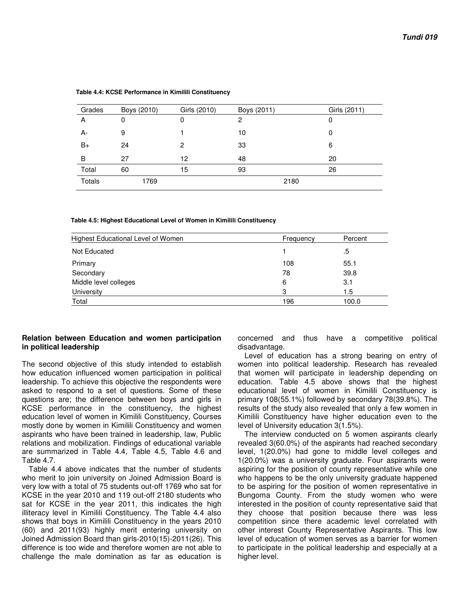| Grades        | Boys (2010) | Girls (2010) | Boys (2011) | Girls (2011) |
|---------------|-------------|--------------|-------------|--------------|
| A             | 0           | 0            | 2           | 0            |
| А-            | 9           |              | 10          | 0            |
| $B+$          | 24          | 2            | 33          | 6            |
| B             | 27          | 12           | 48          | 20           |
| Total         | 60          | 15           | 93          | 26           |
| <b>Totals</b> | 1769        |              |             | 2180         |

 **Table 4.4: KCSE Performance in Kimilili Constituency** 

#### **Table 4.5: Highest Educational Level of Women in Kimilili Constituency**

| <b>Highest Educational Level of Women</b> | Frequency | Percent |
|-------------------------------------------|-----------|---------|
| Not Educated                              |           | .5      |
| Primary                                   | 108       | 55.1    |
| Secondary                                 | 78        | 39.8    |
| Middle level colleges                     | 6         | 3.1     |
| University                                | 3         | 1.5     |
| Total                                     | 196       | 100.0   |

#### **Relation between Education and women participation in political leadership**

The second objective of this study intended to establish how education influenced women participation in political leadership. To achieve this objective the respondents were asked to respond to a set of questions. Some of these questions are; the difference between boys and girls in KCSE performance in the constituency, the highest education level of women in Kimilili Constituency, Courses mostly done by women in Kimilili Constituency and women aspirants who have been trained in leadership, law, Public relations and mobilization. Findings of educational variable are summarized in Table 4.4, Table 4.5, Table 4.6 and Table 4.7.

Table 4.4 above indicates that the number of students who merit to join university on Joined Admission Board is very low with a total of 75 students out-off 1769 who sat for KCSE in the year 2010 and 119 out-off 2180 students who sat for KCSE in the year 2011, this indicates the high illiteracy level in Kimilili Constituency. The Table 4.4 also shows that boys in Kimilili Constituency in the years 2010 (60) and 2011(93) highly merit entering university on Joined Admission Board than girls-2010(15)-2011(26). This difference is too wide and therefore women are not able to challenge the male domination as far as education is

concerned and thus have a competitive political disadvantage.

Level of education has a strong bearing on entry of women into political leadership. Research has revealed that women will participate in leadership depending on education. Table 4.5 above shows that the highest educational level of women in Kimilili Constituency is primary 108(55.1%) followed by secondary 78(39.8%). The results of the study also revealed that only a few women in Kimilili Constituency have higher education even to the level of University education 3(1.5%).

The interview conducted on 5 women aspirants clearly revealed 3(60.0%) of the aspirants had reached secondary level, 1(20.0%) had gone to middle level colleges and 1(20.0%) was a university graduate. Four aspirants were aspiring for the position of county representative while one who happens to be the only university graduate happened to be aspiring for the position of women representative in Bungoma County. From the study women who were interested in the position of county representative said that they choose that position because there was less competition since there academic level correlated with other interest County Representative Aspirants. This low level of education of women serves as a barrier for women to participate in the political leadership and especially at a higher level.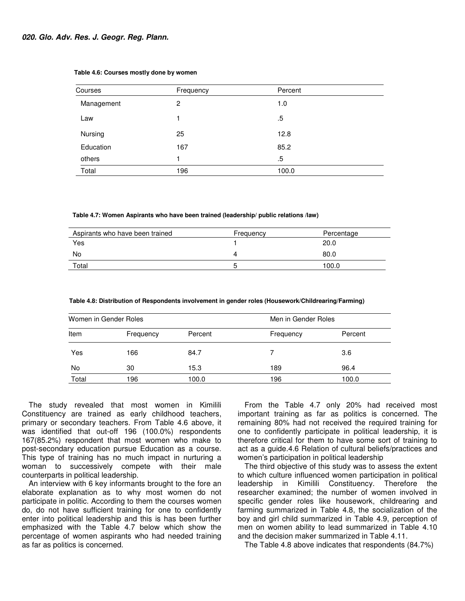| Courses    | Frequency | Percent |  |
|------------|-----------|---------|--|
| Management | 2         | 1.0     |  |
| Law        |           | $.5\,$  |  |
| Nursing    | 25        | 12.8    |  |
| Education  | 167       | 85.2    |  |
| others     |           | .5      |  |
| Total      | 196       | 100.0   |  |

#### **Table 4.6: Courses mostly done by women**

 **Table 4.7: Women Aspirants who have been trained (leadership/ public relations /law)** 

| Aspirants who have been trained | Frequency | Percentage |
|---------------------------------|-----------|------------|
| Yes                             |           | 20.0       |
| No                              | д         | 80.0       |
| Total                           |           | 100.0      |

 **Table 4.8: Distribution of Respondents involvement in gender roles (Housework/Childrearing/Farming)** 

| Women in Gender Roles |           |         |           | Men in Gender Roles |  |  |
|-----------------------|-----------|---------|-----------|---------------------|--|--|
| Item                  | Frequency | Percent | Frequency | Percent             |  |  |
| Yes                   | 166       | 84.7    |           | 3.6                 |  |  |
| No                    | 30        | 15.3    | 189       | 96.4                |  |  |
| Total                 | 196       | 100.0   | 196       | 100.0               |  |  |

The study revealed that most women in Kimilili Constituency are trained as early childhood teachers, primary or secondary teachers. From Table 4.6 above, it was identified that out-off 196 (100.0%) respondents 167(85.2%) respondent that most women who make to post-secondary education pursue Education as a course. This type of training has no much impact in nurturing a woman to successively compete with their male counterparts in political leadership.

An interview with 6 key informants brought to the fore an elaborate explanation as to why most women do not participate in politic. According to them the courses women do, do not have sufficient training for one to confidently enter into political leadership and this is has been further emphasized with the Table 4.7 below which show the percentage of women aspirants who had needed training as far as politics is concerned.

From the Table 4.7 only 20% had received most important training as far as politics is concerned. The remaining 80% had not received the required training for one to confidently participate in political leadership, it is therefore critical for them to have some sort of training to act as a guide.4.6 Relation of cultural beliefs/practices and women's participation in political leadership

The third objective of this study was to assess the extent to which culture influenced women participation in political leadership in Kimilili Constituency. Therefore the researcher examined; the number of women involved in specific gender roles like housework, childrearing and farming summarized in Table 4.8, the socialization of the boy and girl child summarized in Table 4.9, perception of men on women ability to lead summarized in Table 4.10 and the decision maker summarized in Table 4.11.

The Table 4.8 above indicates that respondents (84.7%)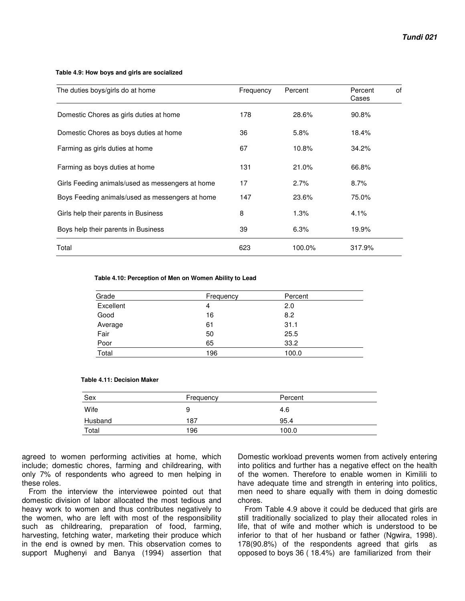#### **Table 4.9: How boys and girls are socialized**

| The duties boys/girls do at home                 | Frequency | Percent | Percent<br>of<br>Cases |
|--------------------------------------------------|-----------|---------|------------------------|
| Domestic Chores as girls duties at home          | 178       | 28.6%   | 90.8%                  |
| Domestic Chores as boys duties at home           | 36        | 5.8%    | 18.4%                  |
| Farming as girls duties at home                  | 67        | 10.8%   | 34.2%                  |
| Farming as boys duties at home                   | 131       | 21.0%   | 66.8%                  |
| Girls Feeding animals/used as messengers at home | 17        | 2.7%    | 8.7%                   |
| Boys Feeding animals/used as messengers at home  | 147       | 23.6%   | 75.0%                  |
| Girls help their parents in Business             | 8         | 1.3%    | 4.1%                   |
| Boys help their parents in Business              | 39        | 6.3%    | 19.9%                  |
| Total                                            | 623       | 100.0%  | 317.9%                 |

#### **Table 4.10: Perception of Men on Women Ability to Lead**

| Grade     | Frequency | Percent |  |
|-----------|-----------|---------|--|
| Excellent | 4         | 2.0     |  |
| Good      | 16        | 8.2     |  |
| Average   | 61        | 31.1    |  |
| Fair      | 50        | 25.5    |  |
| Poor      | 65        | 33.2    |  |
| Total     | 196       | 100.0   |  |

#### **Table 4.11: Decision Maker**

| Sex     | Frequency | Percent |  |
|---------|-----------|---------|--|
| Wife    | 9         | 4.6     |  |
| Husband | 187       | 95.4    |  |
| Total   | 196       | 100.0   |  |

agreed to women performing activities at home, which include; domestic chores, farming and childrearing, with only 7% of respondents who agreed to men helping in these roles.

From the interview the interviewee pointed out that domestic division of labor allocated the most tedious and heavy work to women and thus contributes negatively to the women, who are left with most of the responsibility such as childrearing, preparation of food, farming, harvesting, fetching water, marketing their produce which in the end is owned by men. This observation comes to support Mughenyi and Banya (1994) assertion that

Domestic workload prevents women from actively entering into politics and further has a negative effect on the health of the women. Therefore to enable women in Kimilili to have adequate time and strength in entering into politics, men need to share equally with them in doing domestic chores.

From Table 4.9 above it could be deduced that girls are still traditionally socialized to play their allocated roles in life, that of wife and mother which is understood to be inferior to that of her husband or father (Ngwira, 1998). 178(90.8%) of the respondents agreed that girls as opposed to boys 36 ( 18.4%) are familiarized from their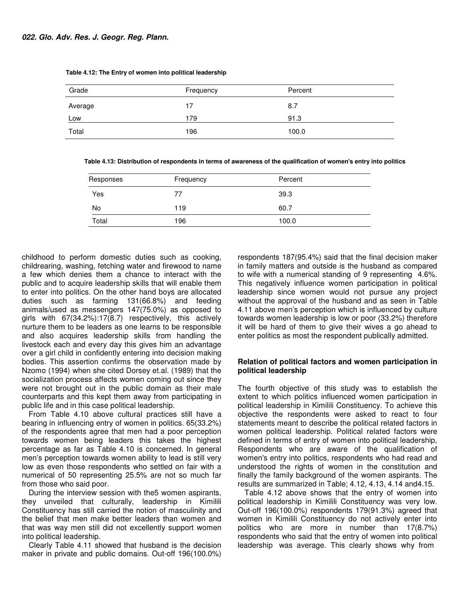| Grade   | Frequency | Percent |
|---------|-----------|---------|
| Average | 17        | 8.7     |
| Low     | 179       | 91.3    |
| Total   | 196       | 100.0   |

 **Table 4.12: The Entry of women into political leadership** 

 **Table 4.13: Distribution of respondents in terms of awareness of the qualification of women's entry into politics** 

| Responses | Frequency | Percent |  |
|-----------|-----------|---------|--|
| Yes       | 77        | 39.3    |  |
| No        | 119       | 60.7    |  |
| Total     | 196       | 100.0   |  |

childhood to perform domestic duties such as cooking, childrearing, washing, fetching water and firewood to name a few which denies them a chance to interact with the public and to acquire leadership skills that will enable them to enter into politics. On the other hand boys are allocated duties such as farming 131(66.8%) and feeding animals/used as messengers 147(75.0%) as opposed to girls with 67(34.2%):17(8.7) respectively, this actively nurture them to be leaders as one learns to be responsible and also acquires leadership skills from handling the livestock each and every day this gives him an advantage over a girl child in confidently entering into decision making bodies. This assertion confirms the observation made by Nzomo (1994) when she cited Dorsey et.al. (1989) that the socialization process affects women coming out since they were not brought out in the public domain as their male counterparts and this kept them away from participating in public life and in this case political leadership.

From Table 4.10 above cultural practices still have a bearing in influencing entry of women in politics. 65(33.2%) of the respondents agree that men had a poor perception towards women being leaders this takes the highest percentage as far as Table 4.10 is concerned. In general men's perception towards women ability to lead is still very low as even those respondents who settled on fair with a numerical of 50 representing 25.5% are not so much far from those who said poor.

During the interview session with the5 women aspirants, they unveiled that culturally, leadership in Kimilili Constituency has still carried the notion of masculinity and the belief that men make better leaders than women and that was way men still did not excellently support women into political leadership.

Clearly Table 4.11 showed that husband is the decision maker in private and public domains. Out-off 196(100.0%)

respondents 187(95.4%) said that the final decision maker in family matters and outside is the husband as compared to wife with a numerical standing of 9 representing 4.6%. This negatively influence women participation in political leadership since women would not pursue any project without the approval of the husband and as seen in Table 4.11 above men's perception which is influenced by culture towards women leadership is low or poor (33.2%) therefore it will be hard of them to give their wives a go ahead to enter politics as most the respondent publically admitted.

## **Relation of political factors and women participation in political leadership**

The fourth objective of this study was to establish the extent to which politics influenced women participation in political leadership in Kimilili Constituency. To achieve this objective the respondents were asked to react to four statements meant to describe the political related factors in women political leadership. Political related factors were defined in terms of entry of women into political leadership, Respondents who are aware of the qualification of women's entry into politics, respondents who had read and understood the rights of women in the constitution and finally the family background of the women aspirants. The results are summarized in Table; 4.12, 4.13, 4.14 and4.15.

Table 4.12 above shows that the entry of women into political leadership in Kimilili Constituency was very low. Out-off 196(100.0%) respondents 179(91.3%) agreed that women in Kimilili Constituency do not actively enter into politics who are more in number than 17(8.7%) respondents who said that the entry of women into political leadership was average. This clearly shows why from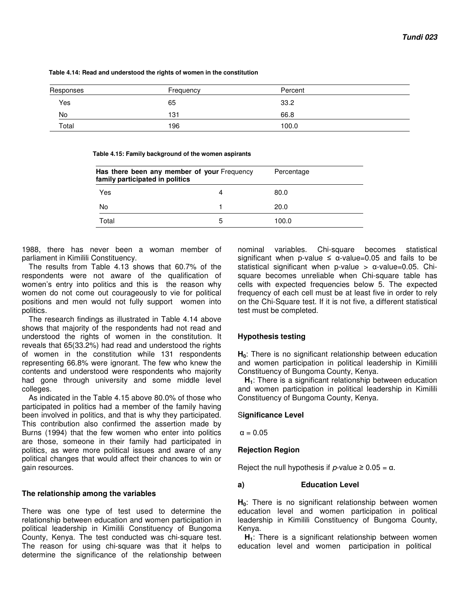**Table 4.14: Read and understood the rights of women in the constitution** 

| Responses | Frequency | Percent |  |
|-----------|-----------|---------|--|
| Yes       | 65        | 33.2    |  |
| No        | 131       | 66.8    |  |
| Total     | 196       | 100.0   |  |

|  | Table 4.15: Family background of the women aspirants |
|--|------------------------------------------------------|
|--|------------------------------------------------------|

| Has there been any member of your Frequency<br>family participated in politics |   | Percentage |  |  |
|--------------------------------------------------------------------------------|---|------------|--|--|
| Yes                                                                            | 4 | 80.0       |  |  |
| No                                                                             |   | 20.0       |  |  |
| Total                                                                          | 5 | 100.0      |  |  |

1988, there has never been a woman member of parliament in Kimilili Constituency.

The results from Table 4.13 shows that 60.7% of the respondents were not aware of the qualification of women's entry into politics and this is the reason why women do not come out courageously to vie for political positions and men would not fully support women into politics.

The research findings as illustrated in Table 4.14 above shows that majority of the respondents had not read and understood the rights of women in the constitution. It reveals that 65(33.2%) had read and understood the rights of women in the constitution while 131 respondents representing 66.8% were ignorant. The few who knew the contents and understood were respondents who majority had gone through university and some middle level colleges.

As indicated in the Table 4.15 above 80.0% of those who participated in politics had a member of the family having been involved in politics, and that is why they participated. This contribution also confirmed the assertion made by Burns (1994) that the few women who enter into politics are those, someone in their family had participated in politics, as were more political issues and aware of any political changes that would affect their chances to win or gain resources.

## **The relationship among the variables**

There was one type of test used to determine the relationship between education and women participation in political leadership in Kimilili Constituency of Bungoma County, Kenya. The test conducted was chi-square test. The reason for using chi-square was that it helps to determine the significance of the relationship between

nominal variables. Chi-square becomes statistical significant when p-value  $\leq \alpha$ -value=0.05 and fails to be statistical significant when p-value > α-value=0.05. Chisquare becomes unreliable when Chi-square table has cells with expected frequencies below 5. The expected frequency of each cell must be at least five in order to rely on the Chi-Square test. If it is not five, a different statistical test must be completed.

## **Hypothesis testing**

**H0**: There is no significant relationship between education and women participation in political leadership in Kimilili Constituency of Bungoma County, Kenya.

**H1**: There is a significant relationship between education and women participation in political leadership in Kimilili Constituency of Bungoma County, Kenya.

## S**ignificance Level**

 $\alpha = 0.05$ 

## **Rejection Region**

Reject the null hypothesis if  $p$ -value  $\geq 0.05 = \alpha$ .

## **a) Education Level**

**H0**: There is no significant relationship between women education level and women participation in political leadership in Kimilili Constituency of Bungoma County, Kenya.

**H1**: There is a significant relationship between women education level and women participation in political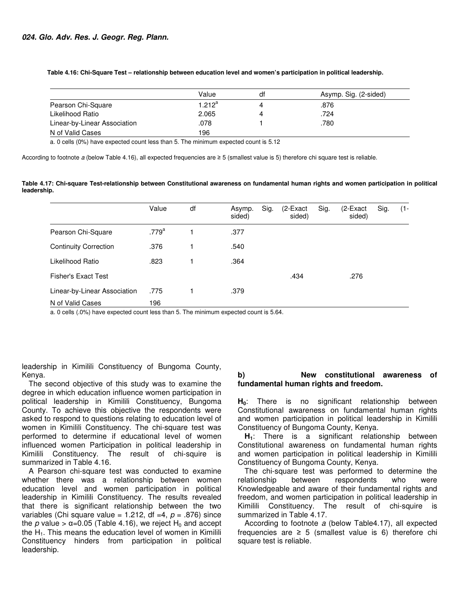**Table 4.16: Chi-Square Test – relationship between education level and women's participation in political leadership.**

|                              | Value     | df | Asymp. Sig. (2-sided) |
|------------------------------|-----------|----|-----------------------|
| Pearson Chi-Square           | $1.212^a$ | 4  | .876                  |
| Likelihood Ratio             | 2.065     | 4  | .724                  |
| Linear-by-Linear Association | .078      |    | .780                  |
| N of Valid Cases             | 196       |    |                       |

a. 0 cells (0%) have expected count less than 5. The minimum expected count is 5.12

According to footnote a (below Table 4.16), all expected frequencies are ≥ 5 (smallest value is 5) therefore chi square test is reliable.

**Table 4.17: Chi-square Test-relationship between Constitutional awareness on fundamental human rights and women participation in political leadership.** 

|                              | Value      | df | Asymp.<br>sided) | Sig. | (2-Exact<br>sided) | Sig. | $(2$ -Exact<br>sided) | Sig. | $(1 -$ |
|------------------------------|------------|----|------------------|------|--------------------|------|-----------------------|------|--------|
| Pearson Chi-Square           | $.779^{a}$ |    | .377             |      |                    |      |                       |      |        |
| <b>Continuity Correction</b> | .376       |    | .540             |      |                    |      |                       |      |        |
| Likelihood Ratio             | .823       |    | .364             |      |                    |      |                       |      |        |
| <b>Fisher's Exact Test</b>   |            |    |                  |      | .434               |      | .276                  |      |        |
| Linear-by-Linear Association | .775       |    | .379             |      |                    |      |                       |      |        |
| N of Valid Cases             | 196        |    |                  |      |                    |      |                       |      |        |

a. 0 cells (.0%) have expected count less than 5. The minimum expected count is 5.64.

leadership in Kimilili Constituency of Bungoma County, Kenya.

The second objective of this study was to examine the degree in which education influence women participation in political leadership in Kimilili Constituency, Bungoma County. To achieve this objective the respondents were asked to respond to questions relating to education level of women in Kimilili Constituency. The chi-square test was performed to determine if educational level of women influenced women Participation in political leadership in Kimilili Constituency. The result of chi-squire is summarized in Table 4.16.

A Pearson chi-square test was conducted to examine whether there was a relationship between women education level and women participation in political leadership in Kimilili Constituency. The results revealed that there is significant relationship between the two variables (Chi square value = 1.212, df = 4,  $p = .876$ ) since the p value >  $\alpha$ =0.05 (Table 4.16), we reject H<sub>0</sub> and accept the  $H<sub>1</sub>$ . This means the education level of women in Kimilili Constituency hinders from participation in political leadership.

### **b) New constitutional awareness of fundamental human rights and freedom.**

**H0**: There is no significant relationship between Constitutional awareness on fundamental human rights and women participation in political leadership in Kimilili Constituency of Bungoma County, Kenya.

**H1**: There is a significant relationship between Constitutional awareness on fundamental human rights and women participation in political leadership in Kimilili Constituency of Bungoma County, Kenya.

The chi-square test was performed to determine the relationship between respondents who were Knowledgeable and aware of their fundamental rights and freedom, and women participation in political leadership in Kimilili Constituency. The result of chi-squire is summarized in Table 4.17.

According to footnote a (below Table4.17), all expected frequencies are  $\geq$  5 (smallest value is 6) therefore chi square test is reliable.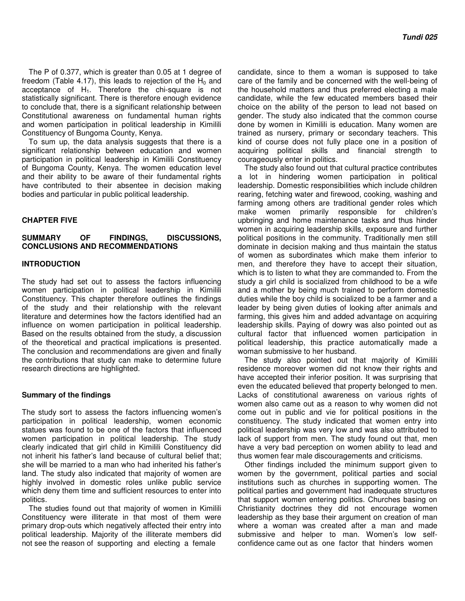The P of 0.377, which is greater than 0.05 at 1 degree of freedom (Table 4.17), this leads to rejection of the  $H_0$  and acceptance of  $H_1$ . Therefore the chi-square is not statistically significant. There is therefore enough evidence to conclude that, there is a significant relationship between Constitutional awareness on fundamental human rights and women participation in political leadership in Kimilili Constituency of Bungoma County, Kenya.

To sum up, the data analysis suggests that there is a significant relationship between education and women participation in political leadership in Kimilili Constituency of Bungoma County, Kenya. The women education level and their ability to be aware of their fundamental rights have contributed to their absentee in decision making bodies and particular in public political leadership.

#### **CHAPTER FIVE**

## **SUMMARY OF FINDINGS, DISCUSSIONS, CONCLUSIONS AND RECOMMENDATIONS**

#### **INTRODUCTION**

The study had set out to assess the factors influencing women participation in political leadership in Kimilili Constituency. This chapter therefore outlines the findings of the study and their relationship with the relevant literature and determines how the factors identified had an influence on women participation in political leadership. Based on the results obtained from the study, a discussion of the theoretical and practical implications is presented. The conclusion and recommendations are given and finally the contributions that study can make to determine future research directions are highlighted.

#### **Summary of the findings**

The study sort to assess the factors influencing women's participation in political leadership, women economic statues was found to be one of the factors that influenced women participation in political leadership. The study clearly indicated that girl child in Kimilili Constituency did not inherit his father's land because of cultural belief that; she will be married to a man who had inherited his father's land. The study also indicated that majority of women are highly involved in domestic roles unlike public service which deny them time and sufficient resources to enter into politics.

The studies found out that majority of women in Kimilili Constituency were illiterate in that most of them were primary drop-outs which negatively affected their entry into political leadership. Majority of the illiterate members did not see the reason of supporting and electing a female

candidate, since to them a woman is supposed to take care of the family and be concerned with the well-being of the household matters and thus preferred electing a male candidate, while the few educated members based their choice on the ability of the person to lead not based on gender. The study also indicated that the common course done by women in Kimilili is education. Many women are trained as nursery, primary or secondary teachers. This kind of course does not fully place one in a position of acquiring political skills and financial strength to courageously enter in politics.

The study also found out that cultural practice contributes a lot in hindering women participation in political leadership. Domestic responsibilities which include children rearing, fetching water and firewood, cooking, washing and farming among others are traditional gender roles which make women primarily responsible for children's upbringing and home maintenance tasks and thus hinder women in acquiring leadership skills, exposure and further political positions in the community. Traditionally men still dominate in decision making and thus maintain the status of women as subordinates which make them inferior to men, and therefore they have to accept their situation, which is to listen to what they are commanded to. From the study a girl child is socialized from childhood to be a wife and a mother by being much trained to perform domestic duties while the boy child is socialized to be a farmer and a leader by being given duties of looking after animals and farming, this gives him and added advantage on acquiring leadership skills. Paying of dowry was also pointed out as cultural factor that influenced women participation in political leadership, this practice automatically made a woman submissive to her husband.

The study also pointed out that majority of Kimilili residence moreover women did not know their rights and have accepted their inferior position. It was surprising that even the educated believed that property belonged to men. Lacks of constitutional awareness on various rights of women also came out as a reason to why women did not come out in public and vie for political positions in the constituency. The study indicated that women entry into political leadership was very low and was also attributed to lack of support from men. The study found out that, men have a very bad perception on women ability to lead and thus women fear male discouragements and criticisms.

Other findings included the minimum support given to women by the government, political parties and social institutions such as churches in supporting women. The political parties and government had inadequate structures that support women entering politics. Churches basing on Christianity doctrines they did not encourage women leadership as they base their argument on creation of man where a woman was created after a man and made submissive and helper to man. Women's low selfconfidence came out as one factor that hinders women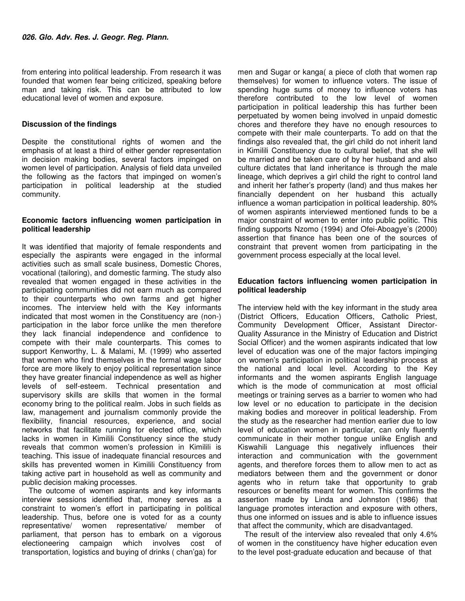from entering into political leadership. From research it was founded that women fear being criticized, speaking before man and taking risk. This can be attributed to low educational level of women and exposure.

## **Discussion of the findings**

Despite the constitutional rights of women and the emphasis of at least a third of either gender representation in decision making bodies, several factors impinged on women level of participation. Analysis of field data unveiled the following as the factors that impinged on women's participation in political leadership at the studied community.

#### **Economic factors influencing women participation in political leadership**

It was identified that majority of female respondents and especially the aspirants were engaged in the informal activities such as small scale business, Domestic Chores, vocational (tailoring), and domestic farming. The study also revealed that women engaged in these activities in the participating communities did not earn much as compared to their counterparts who own farms and get higher incomes. The interview held with the Key informants indicated that most women in the Constituency are (non-) participation in the labor force unlike the men therefore they lack financial independence and confidence to compete with their male counterparts. This comes to support Kenworthy, L. & Malami, M. (1999) who asserted that women who find themselves in the formal wage labor force are more likely to enjoy political representation since they have greater financial independence as well as higher levels of self-esteem. Technical presentation and supervisory skills are skills that women in the formal economy bring to the political realm. Jobs in such fields as law, management and journalism commonly provide the flexibility, financial resources, experience, and social networks that facilitate running for elected office, which lacks in women in Kimilili Constituency since the study reveals that common women's profession in Kimilili is teaching. This issue of inadequate financial resources and skills has prevented women in Kimilili Constituency from taking active part in household as well as community and public decision making processes.

The outcome of women aspirants and key informants interview sessions identified that, money serves as a constraint to women's effort in participating in political leadership. Thus, before one is voted for as a county representative/ women representative/ member of parliament, that person has to embark on a vigorous electioneering campaign which involves cost of transportation, logistics and buying of drinks ( chan'ga) for

men and Sugar or kanga( a piece of cloth that women rap themselves) for women to influence voters. The issue of spending huge sums of money to influence voters has therefore contributed to the low level of women participation in political leadership this has further been perpetuated by women being involved in unpaid domestic chores and therefore they have no enough resources to compete with their male counterparts. To add on that the findings also revealed that, the girl child do not inherit land in Kimilili Constituency due to cultural belief, that she will be married and be taken care of by her husband and also culture dictates that land inheritance is through the male lineage, which deprives a girl child the right to control land and inherit her father's property (land) and thus makes her financially dependent on her husband this actually influence a woman participation in political leadership. 80% of women aspirants interviewed mentioned funds to be a major constraint of women to enter into public politic. This finding supports Nzomo (1994) and Ofei-Aboagye's (2000) assertion that finance has been one of the sources of constraint that prevent women from participating in the government process especially at the local level.

## **Education factors influencing women participation in political leadership**

The interview held with the key informant in the study area (District Officers, Education Officers, Catholic Priest, Community Development Officer, Assistant Director-Quality Assurance in the Ministry of Education and District Social Officer) and the women aspirants indicated that low level of education was one of the major factors impinging on women's participation in political leadership process at the national and local level. According to the Key informants and the women aspirants English language which is the mode of communication at most official meetings or training serves as a barrier to women who had low level or no education to participate in the decision making bodies and moreover in political leadership. From the study as the researcher had mention earlier due to low level of education women in particular, can only fluently communicate in their mother tongue unlike English and Kiswahili Language this negatively influences their interaction and communication with the government agents, and therefore forces them to allow men to act as mediators between them and the government or donor agents who in return take that opportunity to grab resources or benefits meant for women. This confirms the assertion made by Linda and Johnston (1986) that language promotes interaction and exposure with others, thus one informed on issues and is able to influence issues that affect the community, which are disadvantaged.

The result of the interview also revealed that only 4.6% of women in the constituency have higher education even to the level post-graduate education and because of that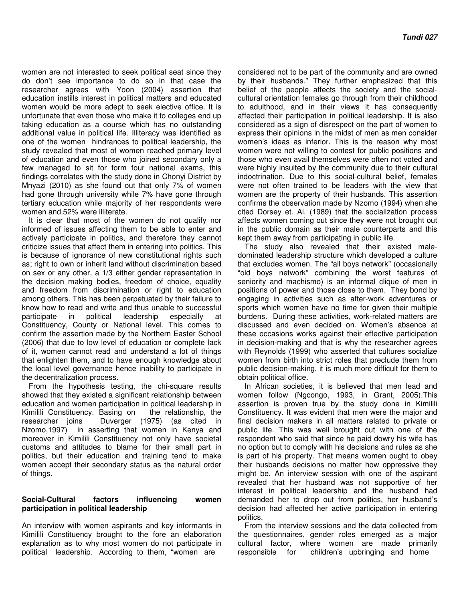women are not interested to seek political seat since they do don't see importance to do so in that case the researcher agrees with Yoon (2004) assertion that education instills interest in political matters and educated women would be more adept to seek elective office. It is unfortunate that even those who make it to colleges end up taking education as a course which has no outstanding additional value in political life. Illiteracy was identified as one of the women hindrances to political leadership, the study revealed that most of women reached primary level of education and even those who joined secondary only a few managed to sit for form four national exams, this findings correlates with the study done in Chonyi District by Mnyazi (2010) as she found out that only 7% of women had gone through university while 7% have gone through tertiary education while majority of her respondents were women and 52% were illiterate.

It is clear that most of the women do not qualify nor informed of issues affecting them to be able to enter and actively participate in politics, and therefore they cannot criticize issues that affect them in entering into politics. This is because of ignorance of new constitutional rights such as; right to own or inherit land without discrimination based on sex or any other, a 1/3 either gender representation in the decision making bodies, freedom of choice, equality and freedom from discrimination or right to education among others. This has been perpetuated by their failure to know how to read and write and thus unable to successful participate in political leadership especially at Constituency, County or National level. This comes to confirm the assertion made by the Northern Easter School (2006) that due to low level of education or complete lack of it, women cannot read and understand a lot of things that enlighten them, and to have enough knowledge about the local level governance hence inability to participate in the decentralization process.

From the hypothesis testing, the chi-square results showed that they existed a significant relationship between education and women participation in political leadership in Kimilili Constituency. Basing on the relationship, the researcher joins Duverger (1975) (as cited in Nzomo,1997) in asserting that women in Kenya and moreover in Kimilili Constituency not only have societal customs and attitudes to blame for their small part in politics, but their education and training tend to make women accept their secondary status as the natural order of things.

## **Social-Cultural factors influencing women participation in political leadership**

An interview with women aspirants and key informants in Kimilili Constituency brought to the fore an elaboration explanation as to why most women do not participate in political leadership. According to them, "women are

considered not to be part of the community and are owned by their husbands." They further emphasized that this belief of the people affects the society and the socialcultural orientation females go through from their childhood to adulthood, and in their views it has consequently affected their participation in political leadership. It is also considered as a sign of disrespect on the part of women to express their opinions in the midst of men as men consider women's ideas as inferior. This is the reason why most women were not willing to contest for public positions and those who even avail themselves were often not voted and were highly insulted by the community due to their cultural indoctrination. Due to this social-cultural belief, females were not often trained to be leaders with the view that women are the property of their husbands. This assertion confirms the observation made by Nzomo (1994) when she cited Dorsey et. Al. (1989) that the socialization process affects women coming out since they were not brought out in the public domain as their male counterparts and this kept them away from participating in public life.

The study also revealed that their existed maledominated leadership structure which developed a culture that excludes women. The "all boys network" (occasionally "old boys network" combining the worst features of seniority and machismo) is an informal clique of men in positions of power and those close to them. They bond by engaging in activities such as after-work adventures or sports which women have no time for given their multiple burdens. During these activities, work-related matters are discussed and even decided on. Women's absence at these occasions works against their effective participation in decision-making and that is why the researcher agrees with Reynolds (1999) who asserted that cultures socialize women from birth into strict roles that preclude them from public decision-making, it is much more difficult for them to obtain political office.

In African societies, it is believed that men lead and women follow (Ngcongo, 1993, in Grant, 2005).This assertion is proven true by the study done in Kimilili Constituency. It was evident that men were the major and final decision makers in all matters related to private or public life. This was well brought out with one of the respondent who said that since he paid dowry his wife has no option but to comply with his decisions and rules as she is part of his property. That means women ought to obey their husbands decisions no matter how oppressive they might be. An interview session with one of the aspirant revealed that her husband was not supportive of her interest in political leadership and the husband had demanded her to drop out from politics, her husband's decision had affected her active participation in entering politics.

From the interview sessions and the data collected from the questionnaires, gender roles emerged as a major cultural factor, where women are made primarily responsible for children's upbringing and home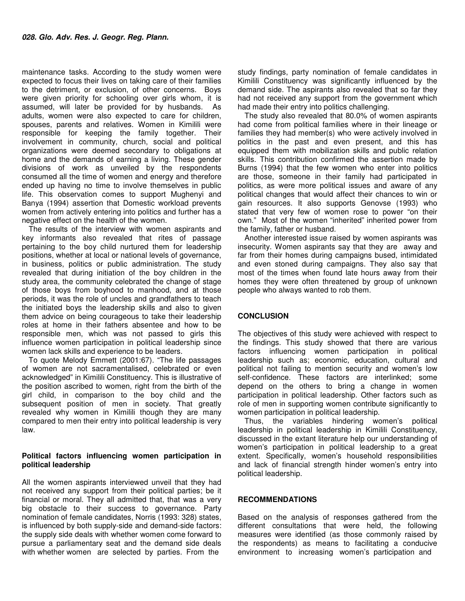maintenance tasks. According to the study women were expected to focus their lives on taking care of their families to the detriment, or exclusion, of other concerns. Boys were given priority for schooling over girls whom, it is assumed, will later be provided for by husbands. As adults, women were also expected to care for children, spouses, parents and relatives. Women in Kimilili were responsible for keeping the family together. Their involvement in community, church, social and political organizations were deemed secondary to obligations at home and the demands of earning a living. These gender divisions of work as unveiled by the respondents consumed all the time of women and energy and therefore ended up having no time to involve themselves in public life. This observation comes to support Mughenyi and Banya (1994) assertion that Domestic workload prevents women from actively entering into politics and further has a negative effect on the health of the women.

The results of the interview with women aspirants and key informants also revealed that rites of passage pertaining to the boy child nurtured them for leadership positions, whether at local or national levels of governance, in business, politics or public administration. The study revealed that during initiation of the boy children in the study area, the community celebrated the change of stage of those boys from boyhood to manhood, and at those periods, it was the role of uncles and grandfathers to teach the initiated boys the leadership skills and also to given them advice on being courageous to take their leadership roles at home in their fathers absentee and how to be responsible men, which was not passed to girls this influence women participation in political leadership since women lack skills and experience to be leaders.

To quote Melody Emmett (2001:67). "The life passages of women are not sacramentalised, celebrated or even acknowledged" in Kimilili Constituency. This is illustrative of the position ascribed to women, right from the birth of the girl child, in comparison to the boy child and the subsequent position of men in society. That greatly revealed why women in Kimilili though they are many compared to men their entry into political leadership is very law.

## **Political factors influencing women participation in political leadership**

All the women aspirants interviewed unveil that they had not received any support from their political parties; be it financial or moral. They all admitted that, that was a very big obstacle to their success to governance. Party nomination of female candidates, Norris (1993: 328) states, is influenced by both supply-side and demand-side factors: the supply side deals with whether women come forward to pursue a parliamentary seat and the demand side deals with whether women are selected by parties. From the

study findings, party nomination of female candidates in Kimilili Constituency was significantly influenced by the demand side. The aspirants also revealed that so far they had not received any support from the government which had made their entry into politics challenging.

The study also revealed that 80.0% of women aspirants had come from political families where in their lineage or families they had member(s) who were actively involved in politics in the past and even present, and this has equipped them with mobilization skills and public relation skills. This contribution confirmed the assertion made by Burns (1994) that the few women who enter into politics are those, someone in their family had participated in politics, as were more political issues and aware of any political changes that would affect their chances to win or gain resources. It also supports Genovse (1993) who stated that very few of women rose to power "on their own." Most of the women "inherited" inherited power from the family, father or husband.

Another interested issue raised by women aspirants was insecurity. Women aspirants say that they are away and far from their homes during campaigns bused, intimidated and even stoned during campaigns. They also say that most of the times when found late hours away from their homes they were often threatened by group of unknown people who always wanted to rob them.

## **CONCLUSION**

The objectives of this study were achieved with respect to the findings. This study showed that there are various factors influencing women participation in political leadership such as; economic, education, cultural and political not failing to mention security and women's low self-confidence. These factors are interlinked; some depend on the others to bring a change in women participation in political leadership. Other factors such as role of men in supporting women contribute significantly to women participation in political leadership.

Thus, the variables hindering women's political leadership in political leadership in Kimilili Constituency, discussed in the extant literature help our understanding of women's participation in political leadership to a great extent. Specifically, women's household responsibilities and lack of financial strength hinder women's entry into political leadership.

## **RECOMMENDATIONS**

Based on the analysis of responses gathered from the different consultations that were held, the following measures were identified (as those commonly raised by the respondents) as means to facilitating a conducive environment to increasing women's participation and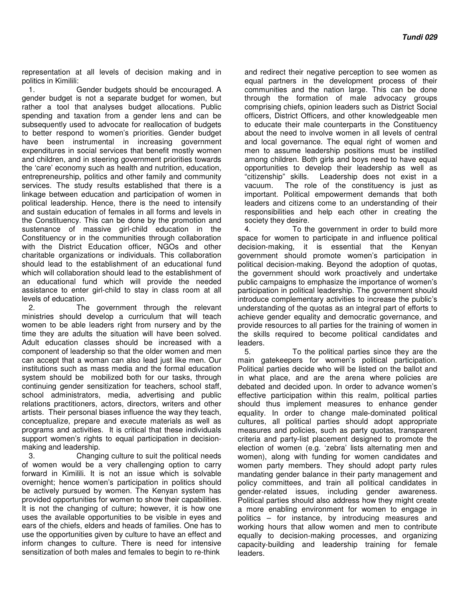representation at all levels of decision making and in politics in Kimilili:

1. Gender budgets should be encouraged. A gender budget is not a separate budget for women, but rather a tool that analyses budget allocations. Public spending and taxation from a gender lens and can be subsequently used to advocate for reallocation of budgets to better respond to women's priorities. Gender budget have been instrumental in increasing government expenditures in social services that benefit mostly women and children, and in steering government priorities towards the 'care' economy such as health and nutrition, education, entrepreneurship, politics and other family and community services. The study results established that there is a linkage between education and participation of women in political leadership. Hence, there is the need to intensify and sustain education of females in all forms and levels in the Constituency. This can be done by the promotion and sustenance of massive girl-child education in the Constituency or in the communities through collaboration with the District Education officer, NGOs and other charitable organizations or individuals. This collaboration should lead to the establishment of an educational fund which will collaboration should lead to the establishment of an educational fund which will provide the needed assistance to enter girl-child to stay in class room at all levels of education.

2. The government through the relevant ministries should develop a curriculum that will teach women to be able leaders right from nursery and by the time they are adults the situation will have been solved. Adult education classes should be increased with a component of leadership so that the older women and men can accept that a woman can also lead just like men. Our institutions such as mass media and the formal education system should be mobilized both for our tasks, through continuing gender sensitization for teachers, school staff, school administrators, media, advertising and public relations practitioners, actors, directors, writers and other artists. Their personal biases influence the way they teach, conceptualize, prepare and execute materials as well as programs and activities. It is critical that these individuals support women's rights to equal participation in decisionmaking and leadership.

3. Changing culture to suit the political needs of women would be a very challenging option to carry forward in Kimilili. It is not an issue which is solvable overnight; hence women's participation in politics should be actively pursued by women. The Kenyan system has provided opportunities for women to show their capabilities. It is not the changing of culture; however, it is how one uses the available opportunities to be visible in eyes and ears of the chiefs, elders and heads of families. One has to use the opportunities given by culture to have an effect and inform changes to culture. There is need for intensive sensitization of both males and females to begin to re-think

and redirect their negative perception to see women as equal partners in the development process of their communities and the nation large. This can be done through the formation of male advocacy groups comprising chiefs, opinion leaders such as District Social officers, District Officers, and other knowledgeable men to educate their male counterparts in the Constituency about the need to involve women in all levels of central and local governance. The equal right of women and men to assume leadership positions must be instilled among children. Both girls and boys need to have equal opportunities to develop their leadership as well as "citizenship" skills. Leadership does not exist in a vacuum. The role of the constituency is just as important. Political empowerment demands that both leaders and citizens come to an understanding of their responsibilities and help each other in creating the society they desire.

4. To the government in order to build more space for women to participate in and influence political decision‐making, it is essential that the Kenyan government should promote women's participation in political decision‐making. Beyond the adoption of quotas, the government should work proactively and undertake public campaigns to emphasize the importance of women's participation in political leadership. The government should introduce complementary activities to increase the public's understanding of the quotas as an integral part of efforts to achieve gender equality and democratic governance, and provide resources to all parties for the training of women in the skills required to become political candidates and leaders.

5. To the political parties since they are the main gatekeepers for women's political participation. Political parties decide who will be listed on the ballot and in what place, and are the arena where policies are debated and decided upon. In order to advance women's effective participation within this realm, political parties should thus implement measures to enhance gender equality. In order to change male‐dominated political cultures, all political parties should adopt appropriate measures and policies, such as party quotas, transparent criteria and party‐list placement designed to promote the election of women (e.g. 'zebra' lists alternating men and women), along with funding for women candidates and women party members. They should adopt party rules mandating gender balance in their party management and policy committees, and train all political candidates in gender‐related issues, including gender awareness. Political parties should also address how they might create a more enabling environment for women to engage in politics – for instance, by introducing measures and working hours that allow women and men to contribute equally to decision‐making processes, and organizing capacity‐building and leadership training for female leaders.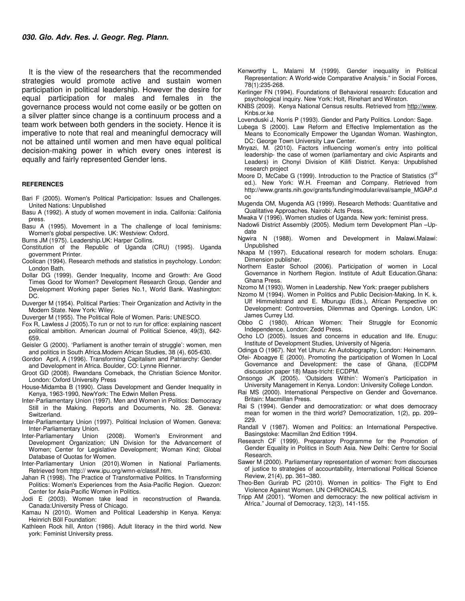It is the view of the researchers that the recommended strategies would promote active and sustain women participation in political leadership. However the desire for equal participation for males and females in the governance process would not come easily or be gotten on a silver platter since change is a continuum process and a team work between both genders in the society. Hence it is imperative to note that real and meaningful democracy will not be attained until women and men have equal political decision-making power in which every ones interest is equally and fairly represented Gender lens.

#### **REFERENCES**

- Bari F (2005). Women's Political Participation: Issues and Challenges. United Nations: Unpublished
- Basu A (1992). A study of women movement in india. Califonia: Califonia press.
- Basu A (1995). Movement in a The challenge of local feminisms: Women's global perspective. UK: Westview: Oxford.
- Burns JM (1975). Leadership.UK: Harper Collins.
- Constitution of the Republic of Uganda (CRU) (1995). Uganda government Printer.
- Coolican (1994). Research methods and statistics in psychology. London: London Bath.
- Dollar DG (1999). Gender Inequality, Income and Growth: Are Good Times Good for Women? Development Research Group, Gender and Development Working paper Series No.1, World Bank. Washington: DC.
- Duverger M (1954). Political Parties: Their Organization and Activity in the Modern State. New York: Wiley.
- Duverger M (1955). The Political Role of Women. Paris: UNESCO.
- Fox R, Lawless J (2005).To run or not to run for office: explaining nascent political ambition. American Journal of Political Science, 49(3), 642- 659.
- Geisler G (2000). 'Parliament is another terrain of struggle': women, men and politics in South Africa.Modern African Studies, 38 (4), 605-630.
- Gordon April, A (1996). Transforming Capitalism and Patriarchy: Gender and Development in Africa. Boulder, CO: Lynne Rienner.
- Groot GD (2008). Rwandans Comeback, the Christian Science Monitor. London: Oxford University Press
- House-Midamba B (1990). Class Development and Gender Inequality in Kenya, 1963-1990, NewYork: The Edwin Mellen Press.
- Inter-Parliamentary Union (1997). Men and Women in Politics: Democracy Still in the Making. Reports and Documents, No. 28. Geneva: Switzerland.
- Inter-Parliamentary Union (1997). Political Inclusion of Women. Geneva: Inter-Parliamentary Union.
- Inter-Parliamentary Union (2008). Women's Environment and Development Organization; UN Division for the Advancement of Women; Center for Legislative Development; Woman Kind; Global Database of Quotas for Women.
- Inter-Parliamentary Union (2010).Women in National Parliaments. Retrieved from http:// www.ipu.org/wmn-e/classif.htm.
- Jahan R (1998). The Practice of Transformative Politics. In Transforming Politics: Women's Experiences from the Asia-Pacific Region. Quezon: Center for Asia-Pacific Women in Politics.
- Jodi E (2003). Women take lead in reconstruction of Rwanda. Canada:University Press of Chicago.
- Kamau N (2010). Women and Political Leadership in Kenya. Kenya: Heinrich Böll Foundation:
- Kathleen Rock hill, Anton (1986). Adult literacy in the third world. New york: Feminist University press.
- Kenworthy L, Malami M (1999). Gender inequality in Political Representation: A World-wide Comparative Analysis." in Social Forces, 78(1):235-268.
- Kerlinger FN (1994). Foundations of Behavioral research: Education and psychological inquiry. New York: Holt, Rinehart and Winston.
- KNBS (2009). Kenya National Census results. Retrieved from http://www. Knbs.or.ke
- Lovenduski J, Norris P (1993). Gender and Party Politics. London: Sage.
- Lubega S (2000). Law Reform and Effective Implementation as the Means to Economically Empower the Ugandan Woman. Washington, DC: George Town University Law Center.
- Mnyazi, M. (2010). Factors influencing women's entry into political leadership- the case of women (parliamentary and civic Aspirants and Leaders) in Chonyi Division of Kilifi District. Kenya: Unpublished research project
- Moore D, McCabe G (1999). Introduction to the Practice of Statistics (3rd ed.). New York: W.H. Freeman and Company. Retrieved from http://www.grants.nih.gov/grants/funding/modular/eval/sample\_MGAP.d oc
- Mugenda OM, Mugenda AG (1999). Research Methods: Quantitative and Qualitative Approaches. Nairobi: Acts Press.
- Mwaka V (1996). Women studies of Uganda. New york: feminist press.
- Nadowli District Assembly (2005). Medium term Development Plan –Update
- Ngwira N (1988). Women and Development in Malawi.Malawi: Unpublished
- Nkapa M (1997). Educational research for modern scholars. Enuga: Dimension publisher.
- Northern Easter School (2006). Participation of women in Local Governance in Northern Region. Institute of Adult Education.Ghana: Ghana Press.
- Nzomo M (1993). Women in Leadership. New York: praeger publishers
- Nzomo M (1994). Women in Politics and Public Decision-Making. In K. k. Ulf Himmelstrand and E. Mburugu (Eds.), African Perspective on Development: Controversies, Dilemmas and Openings. London, UK: James Currey Ltd.
- Obbo C (1980). African Women: Their Struggle for Economic Independence, London: Zedd Press.
- Ocho LO (2005). Issues and concerns in education and life. Enugu: Institute of Development Studies, University of Nigeria.
- Odinga O (1967). Not Yet Uhuru: An Autobiography, London: Heinemann.
- Ofei- Aboagye E (2000). Promoting the participation of Women In Local Governance and Development: the case of Ghana, (ECDPM discussion paper 18) Maas-tricht: ECDPM.
- Onsongo JK (2005). 'Outsiders Within': Women's Participation in University Management in Kenya. London: University College London.
- Rai MS (2000). International Perspective on Gender and Governance. Britain: Macmillan Press.
- Rai S (1994). Gender and democratization: or what does democracy mean for women in the third world? Democratization, 1(2), pp. 209– 229.
- Randall V (1987). Women and Politics: an International Perspective. Basingstoke: Macmillan 2nd Edition 1994.
- Research CF (1999). Preparatory Programme for the Promotion of Gender Equality in Politics in South Asia. New Delhi: Centre for Social Research.
- Sawer M (2000). Parliamentary representation of women: from discourses of justice to strategies of accountability, International Political Science Review, 21(4), pp. 361–380.
- Theo-Ben Gurirab PC (2010). Women in politics- The Fight to End Violence Against Women. UN CHRONICALS.
- Tripp AM (2001). "Women and democracy: the new political activism in Africa." Journal of Democracy, 12(3), 141-155.